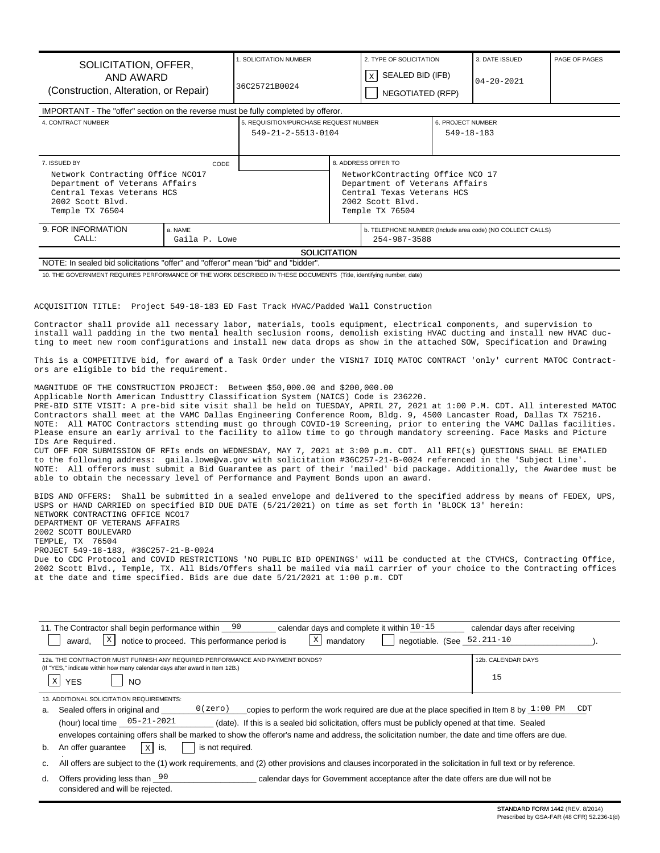<span id="page-0-0"></span>

| SOLICITATION, OFFER,                                                                                                                                                                                                                              | 1. SOLICITATION NUMBER                 |                     | 2. TYPE OF SOLICITATION                                      |                   | 3. DATE ISSUED                                             | PAGE OF PAGES |
|---------------------------------------------------------------------------------------------------------------------------------------------------------------------------------------------------------------------------------------------------|----------------------------------------|---------------------|--------------------------------------------------------------|-------------------|------------------------------------------------------------|---------------|
| AND AWARD                                                                                                                                                                                                                                         |                                        |                     | SEALED BID (IFB)<br>$\vert x \vert$                          |                   |                                                            |               |
| (Construction, Alteration, or Repair)                                                                                                                                                                                                             | 36C25721B0024                          |                     | NEGOTIATED (RFP)                                             |                   | $04 - 20 - 2021$                                           |               |
| IMPORTANT - The "offer" section on the reverse must be fully completed by offeror.                                                                                                                                                                |                                        |                     |                                                              |                   |                                                            |               |
| 4. CONTRACT NUMBER                                                                                                                                                                                                                                | 5. REQUISITION/PURCHASE REQUEST NUMBER |                     |                                                              | 6. PROJECT NUMBER |                                                            |               |
|                                                                                                                                                                                                                                                   | 549-21-2-5513-0104                     |                     |                                                              |                   | $549 - 18 - 183$                                           |               |
| 7. ISSUED BY<br>CODE                                                                                                                                                                                                                              |                                        |                     | 8. ADDRESS OFFER TO                                          |                   |                                                            |               |
| Network Contracting Office NCO17                                                                                                                                                                                                                  |                                        |                     | NetworkContracting Office NCO 17                             |                   |                                                            |               |
| Department of Veterans Affairs<br>Central Texas Veterans HCS                                                                                                                                                                                      |                                        |                     | Department of Veterans Affairs<br>Central Texas Veterans HCS |                   |                                                            |               |
| 2002 Scott Blvd.                                                                                                                                                                                                                                  |                                        |                     | 2002 Scott Blvd.                                             |                   |                                                            |               |
| Temple TX 76504                                                                                                                                                                                                                                   |                                        |                     | Temple TX 76504                                              |                   |                                                            |               |
| 9. FOR INFORMATION<br>a. NAME<br>CALL:<br>Gaila P. Lowe                                                                                                                                                                                           |                                        |                     | 254-987-3588                                                 |                   | b. TELEPHONE NUMBER (Include area code) (NO COLLECT CALLS) |               |
|                                                                                                                                                                                                                                                   |                                        | <b>SOLICITATION</b> |                                                              |                   |                                                            |               |
| NOTE: In sealed bid solicitations "offer" and "offeror" mean "bid" and "bidder".                                                                                                                                                                  |                                        |                     |                                                              |                   |                                                            |               |
| 10. THE GOVERNMENT REQUIRES PERFORMANCE OF THE WORK DESCRIBED IN THESE DOCUMENTS (Title, identifying number, date)                                                                                                                                |                                        |                     |                                                              |                   |                                                            |               |
|                                                                                                                                                                                                                                                   |                                        |                     |                                                              |                   |                                                            |               |
| ACOUISITION TITLE: Project 549-18-183 ED Fast Track HVAC/Padded Wall Construction                                                                                                                                                                 |                                        |                     |                                                              |                   |                                                            |               |
|                                                                                                                                                                                                                                                   |                                        |                     |                                                              |                   |                                                            |               |
| Contractor shall provide all necessary labor, materials, tools equipment, electrical components, and supervision to                                                                                                                               |                                        |                     |                                                              |                   |                                                            |               |
| install wall padding in the two mental health seclusion rooms, demolish existing HVAC ducting and install new HVAC duc-<br>ting to meet new room configurations and install new data drops as show in the attached SOW, Specification and Drawing |                                        |                     |                                                              |                   |                                                            |               |
| This is a COMPETITIVE bid, for award of a Task Order under the VISN17 IDIQ MATOC CONTRACT 'only' current MATOC Contract-                                                                                                                          |                                        |                     |                                                              |                   |                                                            |               |
| ors are eligible to bid the requirement.                                                                                                                                                                                                          |                                        |                     |                                                              |                   |                                                            |               |
| MAGNITUDE OF THE CONSTRUCTION PROJECT: Between \$50,000.00 and \$200,000.00                                                                                                                                                                       |                                        |                     |                                                              |                   |                                                            |               |
| Applicable North American Industtry Classification System (NAICS) Code is 236220.                                                                                                                                                                 |                                        |                     |                                                              |                   |                                                            |               |
| PRE-BID SITE VISIT: A pre-bid site visit shall be held on TUESDAY, APRIL 27, 2021 at 1:00 P.M. CDT. All interested MATOC                                                                                                                          |                                        |                     |                                                              |                   |                                                            |               |
| Contractors shall meet at the VAMC Dallas Engineering Conference Room, Bldg. 9, 4500 Lancaster Road, Dallas TX 75216.<br>NOTE: All MATOC Contractors sttending must go through COVID-19 Screening, prior to entering the VAMC Dallas facilities.  |                                        |                     |                                                              |                   |                                                            |               |
| Please ensure an early arrival to the facility to allow time to go through mandatory screening. Face Masks and Picture                                                                                                                            |                                        |                     |                                                              |                   |                                                            |               |
| IDs Are Required.                                                                                                                                                                                                                                 |                                        |                     |                                                              |                   |                                                            |               |
| CUT OFF FOR SUBMISSION OF RFIs ends on WEDNESDAY, MAY 7, 2021 at 3:00 p.m. CDT. All RFI(s) QUESTIONS SHALL BE EMAILED<br>to the following address: gaila.lowe@va.gov with solicitation #36C257-21-B-0024 referenced in the 'Subject Line'.        |                                        |                     |                                                              |                   |                                                            |               |
| NOTE: All offerors must submit a Bid Guarantee as part of their 'mailed' bid package. Additionally, the Awardee must be                                                                                                                           |                                        |                     |                                                              |                   |                                                            |               |
| able to obtain the necessary level of Performance and Payment Bonds upon an award.                                                                                                                                                                |                                        |                     |                                                              |                   |                                                            |               |
| BIDS AND OFFERS: Shall be submitted in a sealed envelope and delivered to the specified address by means of FEDEX, UPS,                                                                                                                           |                                        |                     |                                                              |                   |                                                            |               |
| USPS or HAND CARRIED on specified BID DUE DATE (5/21/2021) on time as set forth in 'BLOCK 13' herein:<br>NETWORK CONTRACTING OFFICE NCO17                                                                                                         |                                        |                     |                                                              |                   |                                                            |               |
| DEPARTMENT OF VETERANS AFFAIRS                                                                                                                                                                                                                    |                                        |                     |                                                              |                   |                                                            |               |
| 2002 SCOTT BOULEVARD                                                                                                                                                                                                                              |                                        |                     |                                                              |                   |                                                            |               |
| TEMPLE, TX 76504<br>PROJECT 549-18-183, #36C257-21-B-0024                                                                                                                                                                                         |                                        |                     |                                                              |                   |                                                            |               |
| Due to CDC Protocol and COVID RESTRICTIONS 'NO PUBLIC BID OPENINGS' will be conducted at the CTVHCS, Contracting Office,                                                                                                                          |                                        |                     |                                                              |                   |                                                            |               |
| 2002 Scott Blvd., Temple, TX. All Bids/Offers shall be mailed via mail carrier of your choice to the Contracting offices                                                                                                                          |                                        |                     |                                                              |                   |                                                            |               |
| at the date and time specified. Bids are due date $5/21/2021$ at $1:00$ p.m. CDT                                                                                                                                                                  |                                        |                     |                                                              |                   |                                                            |               |
|                                                                                                                                                                                                                                                   |                                        |                     |                                                              |                   |                                                            |               |
|                                                                                                                                                                                                                                                   |                                        |                     |                                                              |                   |                                                            |               |
| 11. The Contractor shall begin performance within 90                                                                                                                                                                                              |                                        |                     | calendar days and complete it within 10-15                   |                   | calendar days after receiving                              |               |
| Χ<br>notice to proceed. This performance period is<br>award,                                                                                                                                                                                      | X                                      | mandatory           |                                                              |                   | negotiable. (See 52.211-10                                 |               |
| 12a. THE CONTRACTOR MUST FURNISH ANY REQUIRED PERFORMANCE AND PAYMENT BONDS?                                                                                                                                                                      |                                        |                     |                                                              |                   | 12b. CALENDAR DAYS                                         |               |
| (If "YES," indicate within how many calendar days after award in Item 12B.)                                                                                                                                                                       |                                        |                     |                                                              |                   | 15                                                         |               |
| $\mathbf{x}$<br>YES<br>NO                                                                                                                                                                                                                         |                                        |                     |                                                              |                   |                                                            |               |
| 13. ADDITIONAL SOLICITATION REQUIREMENTS:                                                                                                                                                                                                         |                                        |                     |                                                              |                   |                                                            |               |

| a. | . Sealed offers in original and | $0$ (zero) | copies to perform the work required are due at the place specified in Item 8 by $1:00$ PM CDT |  |  |
|----|---------------------------------|------------|-----------------------------------------------------------------------------------------------|--|--|
|    | ---------                       |            |                                                                                               |  |  |

|  | (hour) local time $05 - 21 - 2021$ | (date). If this is a sealed bid solicitation, offers must be publicly opened at that time. Sealed |  |  |
|--|------------------------------------|---------------------------------------------------------------------------------------------------|--|--|
|  |                                    |                                                                                                   |  |  |

 $\mathbb{Z}$ envelopes containing offers shall be marked to show the offeror's name and address, the solicitation number, the date and time offers are due. b. An offer guarantee  $\boxed{x}$  is,  $\boxed{\phantom{x}}$  is not required.

l

c. All offers are subject to the (1) work requirements, and (2) other provisions and clauses incorporated in the solicitation in full text or by reference. .

d. Offers providing less than  $\frac{90}{2}$  calendar days for Government acceptance after the date offers are due will not be considered and will be rejected. Offers providing less than  $\frac{90}{2}$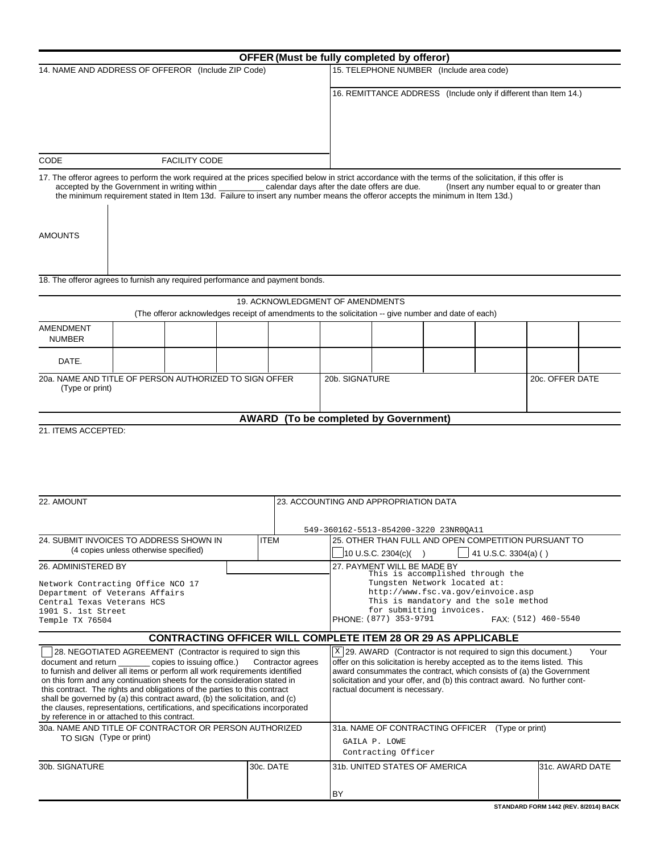<span id="page-1-0"></span>

|                                                                                                                                                                                                                                                                                                                                                                                                                                                                                                                                                                                                   |                                       |                      |                                                                                                                                                                                                                                                                                                                                                   | OFFER (Must be fully completed by offeror)                                                                                                                                                                                |                                                                                          |                        |                                       |                                                                  |                  |  |
|---------------------------------------------------------------------------------------------------------------------------------------------------------------------------------------------------------------------------------------------------------------------------------------------------------------------------------------------------------------------------------------------------------------------------------------------------------------------------------------------------------------------------------------------------------------------------------------------------|---------------------------------------|----------------------|---------------------------------------------------------------------------------------------------------------------------------------------------------------------------------------------------------------------------------------------------------------------------------------------------------------------------------------------------|---------------------------------------------------------------------------------------------------------------------------------------------------------------------------------------------------------------------------|------------------------------------------------------------------------------------------|------------------------|---------------------------------------|------------------------------------------------------------------|------------------|--|
| 14. NAME AND ADDRESS OF OFFEROR (Include ZIP Code)                                                                                                                                                                                                                                                                                                                                                                                                                                                                                                                                                |                                       |                      |                                                                                                                                                                                                                                                                                                                                                   |                                                                                                                                                                                                                           | 15. TELEPHONE NUMBER (Include area code)                                                 |                        |                                       |                                                                  |                  |  |
|                                                                                                                                                                                                                                                                                                                                                                                                                                                                                                                                                                                                   |                                       |                      |                                                                                                                                                                                                                                                                                                                                                   |                                                                                                                                                                                                                           |                                                                                          |                        |                                       | 16. REMITTANCE ADDRESS (Include only if different than Item 14.) |                  |  |
|                                                                                                                                                                                                                                                                                                                                                                                                                                                                                                                                                                                                   |                                       |                      |                                                                                                                                                                                                                                                                                                                                                   |                                                                                                                                                                                                                           |                                                                                          |                        |                                       |                                                                  |                  |  |
|                                                                                                                                                                                                                                                                                                                                                                                                                                                                                                                                                                                                   |                                       |                      |                                                                                                                                                                                                                                                                                                                                                   |                                                                                                                                                                                                                           |                                                                                          |                        |                                       |                                                                  |                  |  |
|                                                                                                                                                                                                                                                                                                                                                                                                                                                                                                                                                                                                   |                                       |                      |                                                                                                                                                                                                                                                                                                                                                   |                                                                                                                                                                                                                           |                                                                                          |                        |                                       |                                                                  |                  |  |
| CODE                                                                                                                                                                                                                                                                                                                                                                                                                                                                                                                                                                                              |                                       | <b>FACILITY CODE</b> |                                                                                                                                                                                                                                                                                                                                                   |                                                                                                                                                                                                                           |                                                                                          |                        |                                       |                                                                  |                  |  |
| 17. The offeror agrees to perform the work required at the prices specified below in strict accordance with the terms of the solicitation, if this offer is                                                                                                                                                                                                                                                                                                                                                                                                                                       |                                       |                      |                                                                                                                                                                                                                                                                                                                                                   | accepted by the Government in writing within calendar days after the date offers are due.<br>the minimum requirement stated in Item 13d. Failure to insert any number means the offeror accepts the minimum in Item 13d.) |                                                                                          |                        |                                       | (Insert any number equal to or greater than                      |                  |  |
| <b>AMOUNTS</b>                                                                                                                                                                                                                                                                                                                                                                                                                                                                                                                                                                                    |                                       |                      |                                                                                                                                                                                                                                                                                                                                                   |                                                                                                                                                                                                                           |                                                                                          |                        |                                       |                                                                  |                  |  |
| 18. The offeror agrees to furnish any required performance and payment bonds.                                                                                                                                                                                                                                                                                                                                                                                                                                                                                                                     |                                       |                      |                                                                                                                                                                                                                                                                                                                                                   |                                                                                                                                                                                                                           |                                                                                          |                        |                                       |                                                                  |                  |  |
|                                                                                                                                                                                                                                                                                                                                                                                                                                                                                                                                                                                                   |                                       |                      |                                                                                                                                                                                                                                                                                                                                                   | 19. ACKNOWLEDGMENT OF AMENDMENTS                                                                                                                                                                                          |                                                                                          |                        |                                       |                                                                  |                  |  |
|                                                                                                                                                                                                                                                                                                                                                                                                                                                                                                                                                                                                   |                                       |                      |                                                                                                                                                                                                                                                                                                                                                   | (The offeror acknowledges receipt of amendments to the solicitation -- give number and date of each)                                                                                                                      |                                                                                          |                        |                                       |                                                                  |                  |  |
| AMENDMENT<br><b>NUMBER</b>                                                                                                                                                                                                                                                                                                                                                                                                                                                                                                                                                                        |                                       |                      |                                                                                                                                                                                                                                                                                                                                                   |                                                                                                                                                                                                                           |                                                                                          |                        |                                       |                                                                  |                  |  |
| DATE.                                                                                                                                                                                                                                                                                                                                                                                                                                                                                                                                                                                             |                                       |                      |                                                                                                                                                                                                                                                                                                                                                   |                                                                                                                                                                                                                           |                                                                                          |                        |                                       |                                                                  |                  |  |
| 20a. NAME AND TITLE OF PERSON AUTHORIZED TO SIGN OFFER<br>(Type or print)                                                                                                                                                                                                                                                                                                                                                                                                                                                                                                                         |                                       |                      |                                                                                                                                                                                                                                                                                                                                                   | 20b. SIGNATURE<br>20c. OFFER DATE                                                                                                                                                                                         |                                                                                          |                        |                                       |                                                                  |                  |  |
|                                                                                                                                                                                                                                                                                                                                                                                                                                                                                                                                                                                                   |                                       |                      | <b>AWARD</b>                                                                                                                                                                                                                                                                                                                                      |                                                                                                                                                                                                                           | (To be completed by Government)                                                          |                        |                                       |                                                                  |                  |  |
| 22. AMOUNT                                                                                                                                                                                                                                                                                                                                                                                                                                                                                                                                                                                        |                                       |                      |                                                                                                                                                                                                                                                                                                                                                   |                                                                                                                                                                                                                           | 23. ACCOUNTING AND APPROPRIATION DATA                                                    |                        |                                       |                                                                  |                  |  |
|                                                                                                                                                                                                                                                                                                                                                                                                                                                                                                                                                                                                   |                                       |                      |                                                                                                                                                                                                                                                                                                                                                   |                                                                                                                                                                                                                           |                                                                                          |                        |                                       |                                                                  |                  |  |
| 24. SUBMIT INVOICES TO ADDRESS SHOWN IN                                                                                                                                                                                                                                                                                                                                                                                                                                                                                                                                                           |                                       |                      |                                                                                                                                                                                                                                                                                                                                                   | <b>ITEM</b>                                                                                                                                                                                                               |                                                                                          |                        | 549-360162-5513-854200-3220 23NR0QA11 | 25. OTHER THAN FULL AND OPEN COMPETITION PURSUANT TO             |                  |  |
|                                                                                                                                                                                                                                                                                                                                                                                                                                                                                                                                                                                                   | (4 copies unless otherwise specified) |                      |                                                                                                                                                                                                                                                                                                                                                   |                                                                                                                                                                                                                           |                                                                                          | $10$ U.S.C. 2304(c)( ) |                                       | 41 U.S.C. 3304(a) ()                                             |                  |  |
| 26. ADMINISTERED BY<br>Network Contracting Office NCO 17<br>Department of Veterans Affairs<br>Central Texas Veterans HCS<br>1901 S. 1st Street<br>Temple TX 76504                                                                                                                                                                                                                                                                                                                                                                                                                                 |                                       |                      | 27. PAYMENT WILL BE MADE BY<br>This is accomplished through the<br>Tungsten Network located at:<br>http://www.fsc.va.gov/einvoice.asp<br>This is mandatory and the sole method<br>for submitting invoices.<br>PHONE: (877) 353-9791<br>FAX: (512) 460-5540                                                                                        |                                                                                                                                                                                                                           |                                                                                          |                        |                                       |                                                                  |                  |  |
|                                                                                                                                                                                                                                                                                                                                                                                                                                                                                                                                                                                                   |                                       |                      |                                                                                                                                                                                                                                                                                                                                                   | <b>CONTRACTING OFFICER WILL COMPLETE ITEM 28 OR 29 AS APPLICABLE</b>                                                                                                                                                      |                                                                                          |                        |                                       |                                                                  |                  |  |
| 28. NEGOTIATED AGREEMENT (Contractor is required to sign this<br>copies to issuing office.)<br>document and return<br>Contractor agrees<br>to furnish and deliver all items or perform all work requirements identified<br>on this form and any continuation sheets for the consideration stated in<br>this contract. The rights and obligations of the parties to this contract<br>shall be governed by (a) this contract award, (b) the solicitation, and (c)<br>the clauses, representations, certifications, and specifications incorporated<br>by reference in or attached to this contract. |                                       |                      | Your<br>$ X $ 29. AWARD (Contractor is not required to sign this document.)<br>offer on this solicitation is hereby accepted as to the items listed. This<br>award consummates the contract, which consists of (a) the Government<br>solicitation and your offer, and (b) this contract award. No further cont-<br>ractual document is necessary. |                                                                                                                                                                                                                           |                                                                                          |                        |                                       |                                                                  |                  |  |
| 30a. NAME AND TITLE OF CONTRACTOR OR PERSON AUTHORIZED<br>TO SIGN (Type or print)                                                                                                                                                                                                                                                                                                                                                                                                                                                                                                                 |                                       |                      |                                                                                                                                                                                                                                                                                                                                                   |                                                                                                                                                                                                                           | 31a. NAME OF CONTRACTING OFFICER (Type or print)<br>GAILA P. LOWE<br>Contracting Officer |                        |                                       |                                                                  |                  |  |
| 30b. SIGNATURE                                                                                                                                                                                                                                                                                                                                                                                                                                                                                                                                                                                    |                                       |                      |                                                                                                                                                                                                                                                                                                                                                   | 30c. DATE                                                                                                                                                                                                                 |                                                                                          |                        | 31b. UNITED STATES OF AMERICA         |                                                                  | l31c. AWARD DATE |  |
|                                                                                                                                                                                                                                                                                                                                                                                                                                                                                                                                                                                                   |                                       |                      |                                                                                                                                                                                                                                                                                                                                                   |                                                                                                                                                                                                                           | BY                                                                                       |                        |                                       |                                                                  |                  |  |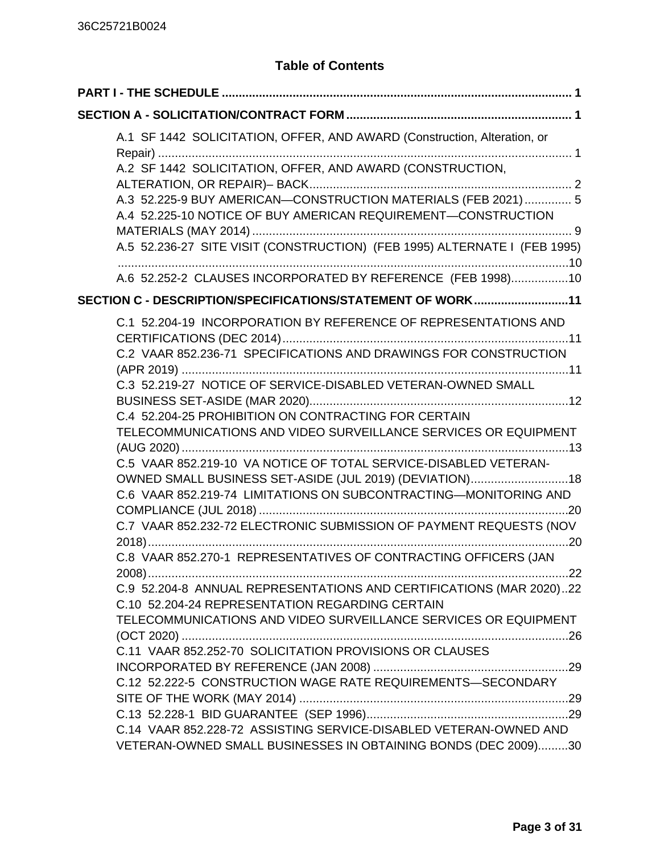| A.1 SF 1442 SOLICITATION, OFFER, AND AWARD (Construction, Alteration, or                                                            |
|-------------------------------------------------------------------------------------------------------------------------------------|
| A.2 SF 1442 SOLICITATION, OFFER, AND AWARD (CONSTRUCTION,                                                                           |
| A.3 52.225-9 BUY AMERICAN-CONSTRUCTION MATERIALS (FEB 2021)  5<br>A.4 52.225-10 NOTICE OF BUY AMERICAN REQUIREMENT-CONSTRUCTION     |
| A.5 52.236-27 SITE VISIT (CONSTRUCTION) (FEB 1995) ALTERNATE I (FEB 1995)                                                           |
|                                                                                                                                     |
| SECTION C - DESCRIPTION/SPECIFICATIONS/STATEMENT OF WORK11                                                                          |
| C.1 52.204-19 INCORPORATION BY REFERENCE OF REPRESENTATIONS AND                                                                     |
| C.2 VAAR 852.236-71 SPECIFICATIONS AND DRAWINGS FOR CONSTRUCTION                                                                    |
|                                                                                                                                     |
| C.4 52.204-25 PROHIBITION ON CONTRACTING FOR CERTAIN<br>TELECOMMUNICATIONS AND VIDEO SURVEILLANCE SERVICES OR EQUIPMENT             |
| C.5 VAAR 852.219-10 VA NOTICE OF TOTAL SERVICE-DISABLED VETERAN-                                                                    |
| OWNED SMALL BUSINESS SET-ASIDE (JUL 2019) (DEVIATION)18<br>C.6 VAAR 852.219-74 LIMITATIONS ON SUBCONTRACTING-MONITORING AND         |
| C.7 VAAR 852.232-72 ELECTRONIC SUBMISSION OF PAYMENT REQUESTS (NOV                                                                  |
| C.8 VAAR 852.270-1 REPRESENTATIVES OF CONTRACTING OFFICERS (JAN                                                                     |
| C.9 52.204-8 ANNUAL REPRESENTATIONS AND CERTIFICATIONS (MAR 2020)22<br>C.10 52.204-24 REPRESENTATION REGARDING CERTAIN              |
| TELECOMMUNICATIONS AND VIDEO SURVEILLANCE SERVICES OR EQUIPMENT<br>C.11 VAAR 852.252-70 SOLICITATION PROVISIONS OR CLAUSES          |
| C.12 52.222-5 CONSTRUCTION WAGE RATE REQUIREMENTS-SECONDARY                                                                         |
|                                                                                                                                     |
| C.14 VAAR 852.228-72 ASSISTING SERVICE-DISABLED VETERAN-OWNED AND<br>VETERAN-OWNED SMALL BUSINESSES IN OBTAINING BONDS (DEC 2009)30 |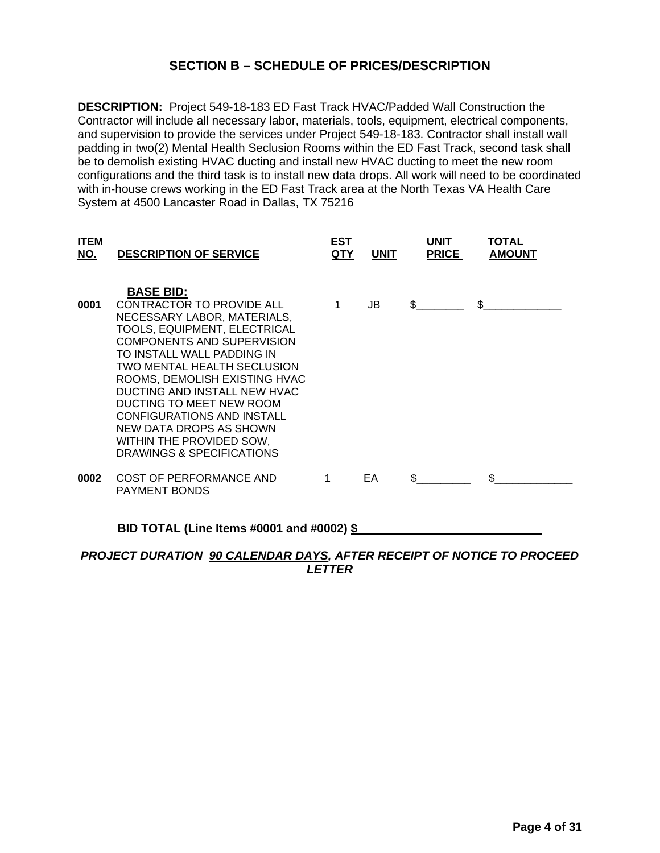### **SECTION B – SCHEDULE OF PRICES/DESCRIPTION**

**DESCRIPTION:** Project 549-18-183 ED Fast Track HVAC/Padded Wall Construction the Contractor will include all necessary labor, materials, tools, equipment, electrical components, and supervision to provide the services under Project 549-18-183. Contractor shall install wall padding in two(2) Mental Health Seclusion Rooms within the ED Fast Track, second task shall be to demolish existing HVAC ducting and install new HVAC ducting to meet the new room configurations and the third task is to install new data drops. All work will need to be coordinated with in-house crews working in the ED Fast Track area at the North Texas VA Health Care System at 4500 Lancaster Road in Dallas, TX 75216

| <b>ITEM</b><br>NO. | <b>DESCRIPTION OF SERVICE</b>                                                                                                                                                                                                                                                                                                                                                                                                        | <b>EST</b><br><b>QTY</b> | <b>UNIT</b> | <b>UNIT</b><br><b>PRICE</b> | TOTAL<br><b>AMOUNT</b> |  |
|--------------------|--------------------------------------------------------------------------------------------------------------------------------------------------------------------------------------------------------------------------------------------------------------------------------------------------------------------------------------------------------------------------------------------------------------------------------------|--------------------------|-------------|-----------------------------|------------------------|--|
| 0001               | <b>BASE BID:</b><br>CONTRACTOR TO PROVIDE ALL<br>NECESSARY LABOR, MATERIALS,<br>TOOLS, EQUIPMENT, ELECTRICAL<br><b>COMPONENTS AND SUPERVISION</b><br>TO INSTALL WALL PADDING IN<br>TWO MENTAL HEALTH SECLUSION<br>ROOMS, DEMOLISH EXISTING HVAC<br>DUCTING AND INSTALL NEW HVAC<br>DUCTING TO MEET NEW ROOM<br><b>CONFIGURATIONS AND INSTALL</b><br>NEW DATA DROPS AS SHOWN<br>WITHIN THE PROVIDED SOW,<br>DRAWINGS & SPECIFICATIONS | 1                        | JB.         | $\mathbb{S}$                | \$                     |  |
| 0002               | COST OF PERFORMANCE AND<br><b>PAYMENT BONDS</b>                                                                                                                                                                                                                                                                                                                                                                                      | 1                        | EA          | \$                          | \$.                    |  |
|                    | <b>BID TOTAL (Line Items #0001 and #0002) \$</b>                                                                                                                                                                                                                                                                                                                                                                                     |                          |             |                             |                        |  |

*PROJECT DURATION 90 CALENDAR DAYS, AFTER RECEIPT OF NOTICE TO PROCEED LETTER*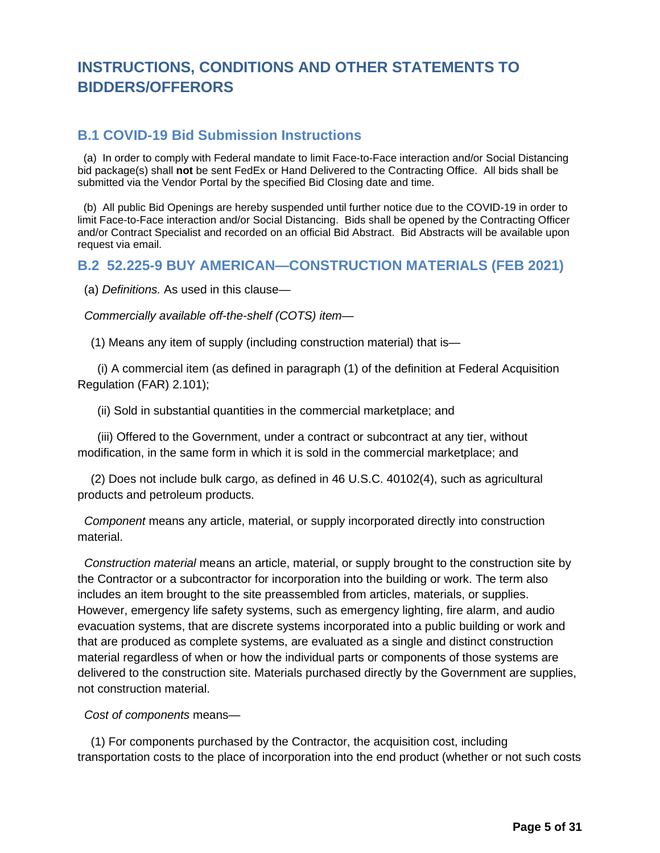# **INSTRUCTIONS, CONDITIONS AND OTHER STATEMENTS TO BIDDERS/OFFERORS**

## **B.1 COVID-19 Bid Submission Instructions**

 (a) In order to comply with Federal mandate to limit Face-to-Face interaction and/or Social Distancing bid package(s) shall **not** be sent FedEx or Hand Delivered to the Contracting Office. All bids shall be submitted via the Vendor Portal by the specified Bid Closing date and time.

 (b) All public Bid Openings are hereby suspended until further notice due to the COVID-19 in order to limit Face-to-Face interaction and/or Social Distancing. Bids shall be opened by the Contracting Officer and/or Contract Specialist and recorded on an official Bid Abstract. Bid Abstracts will be available upon request via email.

### <span id="page-4-0"></span>**B.2 52.225-9 BUY AMERICAN—CONSTRUCTION MATERIALS (FEB 2021)**

(a) *Definitions.* As used in this clause—

*Commercially available off-the-shelf (COTS) item*—

(1) Means any item of supply (including construction material) that is—

 (i) A commercial item (as defined in paragraph (1) of the definition at Federal Acquisition Regulation (FAR) 2.101);

(ii) Sold in substantial quantities in the commercial marketplace; and

 (iii) Offered to the Government, under a contract or subcontract at any tier, without modification, in the same form in which it is sold in the commercial marketplace; and

 (2) Does not include bulk cargo, as defined in 46 U.S.C. 40102(4), such as agricultural products and petroleum products.

 *Component* means any article, material, or supply incorporated directly into construction material.

 *Construction material* means an article, material, or supply brought to the construction site by the Contractor or a subcontractor for incorporation into the building or work. The term also includes an item brought to the site preassembled from articles, materials, or supplies. However, emergency life safety systems, such as emergency lighting, fire alarm, and audio evacuation systems, that are discrete systems incorporated into a public building or work and that are produced as complete systems, are evaluated as a single and distinct construction material regardless of when or how the individual parts or components of those systems are delivered to the construction site. Materials purchased directly by the Government are supplies, not construction material.

#### *Cost of components* means—

 (1) For components purchased by the Contractor, the acquisition cost, including transportation costs to the place of incorporation into the end product (whether or not such costs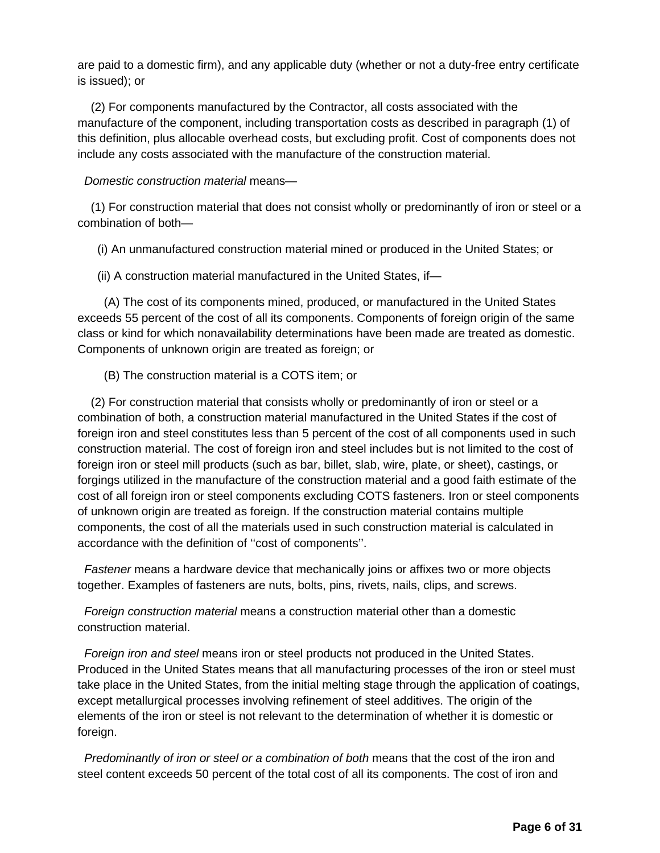are paid to a domestic firm), and any applicable duty (whether or not a duty-free entry certificate is issued); or

 (2) For components manufactured by the Contractor, all costs associated with the manufacture of the component, including transportation costs as described in paragraph (1) of this definition, plus allocable overhead costs, but excluding profit. Cost of components does not include any costs associated with the manufacture of the construction material.

#### *Domestic construction material* means—

 (1) For construction material that does not consist wholly or predominantly of iron or steel or a combination of both—

(i) An unmanufactured construction material mined or produced in the United States; or

(ii) A construction material manufactured in the United States, if—

 (A) The cost of its components mined, produced, or manufactured in the United States exceeds 55 percent of the cost of all its components. Components of foreign origin of the same class or kind for which nonavailability determinations have been made are treated as domestic. Components of unknown origin are treated as foreign; or

(B) The construction material is a COTS item; or

 (2) For construction material that consists wholly or predominantly of iron or steel or a combination of both, a construction material manufactured in the United States if the cost of foreign iron and steel constitutes less than 5 percent of the cost of all components used in such construction material. The cost of foreign iron and steel includes but is not limited to the cost of foreign iron or steel mill products (such as bar, billet, slab, wire, plate, or sheet), castings, or forgings utilized in the manufacture of the construction material and a good faith estimate of the cost of all foreign iron or steel components excluding COTS fasteners. Iron or steel components of unknown origin are treated as foreign. If the construction material contains multiple components, the cost of all the materials used in such construction material is calculated in accordance with the definition of ''cost of components''.

 *Fastener* means a hardware device that mechanically joins or affixes two or more objects together. Examples of fasteners are nuts, bolts, pins, rivets, nails, clips, and screws.

 *Foreign construction material* means a construction material other than a domestic construction material.

 *Foreign iron and steel* means iron or steel products not produced in the United States. Produced in the United States means that all manufacturing processes of the iron or steel must take place in the United States, from the initial melting stage through the application of coatings, except metallurgical processes involving refinement of steel additives. The origin of the elements of the iron or steel is not relevant to the determination of whether it is domestic or foreign.

 *Predominantly of iron or steel or a combination of both* means that the cost of the iron and steel content exceeds 50 percent of the total cost of all its components. The cost of iron and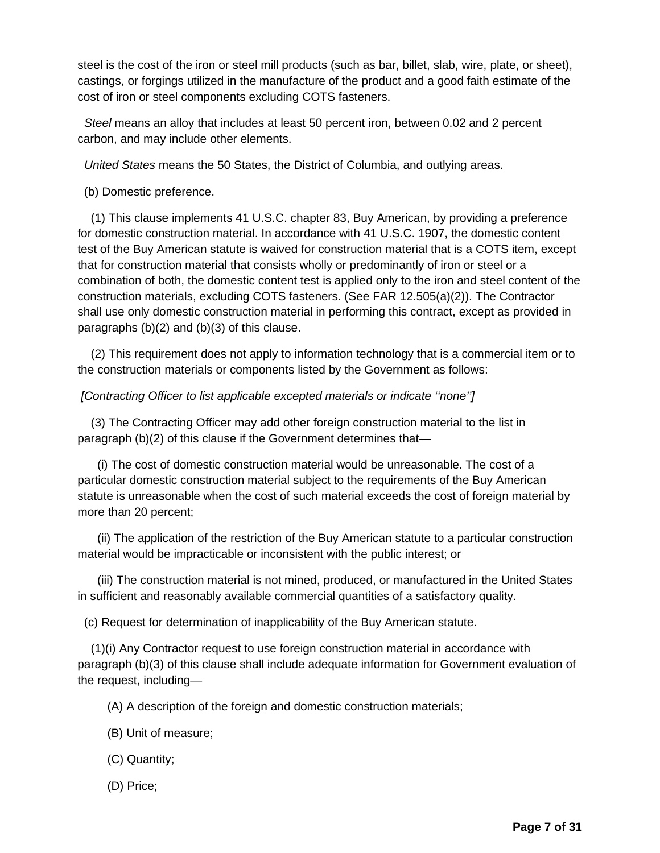steel is the cost of the iron or steel mill products (such as bar, billet, slab, wire, plate, or sheet), castings, or forgings utilized in the manufacture of the product and a good faith estimate of the cost of iron or steel components excluding COTS fasteners.

 *Steel* means an alloy that includes at least 50 percent iron, between 0.02 and 2 percent carbon, and may include other elements.

*United States* means the 50 States, the District of Columbia, and outlying areas.

(b) Domestic preference.

 (1) This clause implements 41 U.S.C. chapter 83, Buy American, by providing a preference for domestic construction material. In accordance with 41 U.S.C. 1907, the domestic content test of the Buy American statute is waived for construction material that is a COTS item, except that for construction material that consists wholly or predominantly of iron or steel or a combination of both, the domestic content test is applied only to the iron and steel content of the construction materials, excluding COTS fasteners. (See FAR 12.505(a)(2)). The Contractor shall use only domestic construction material in performing this contract, except as provided in paragraphs (b)(2) and (b)(3) of this clause.

 (2) This requirement does not apply to information technology that is a commercial item or to the construction materials or components listed by the Government as follows:

### *[Contracting Officer to list applicable excepted materials or indicate ''none'']*

 (3) The Contracting Officer may add other foreign construction material to the list in paragraph (b)(2) of this clause if the Government determines that—

 (i) The cost of domestic construction material would be unreasonable. The cost of a particular domestic construction material subject to the requirements of the Buy American statute is unreasonable when the cost of such material exceeds the cost of foreign material by more than 20 percent;

 (ii) The application of the restriction of the Buy American statute to a particular construction material would be impracticable or inconsistent with the public interest; or

 (iii) The construction material is not mined, produced, or manufactured in the United States in sufficient and reasonably available commercial quantities of a satisfactory quality.

(c) Request for determination of inapplicability of the Buy American statute.

 (1)(i) Any Contractor request to use foreign construction material in accordance with paragraph (b)(3) of this clause shall include adequate information for Government evaluation of the request, including—

(A) A description of the foreign and domestic construction materials;

- (B) Unit of measure;
- (C) Quantity;
- (D) Price;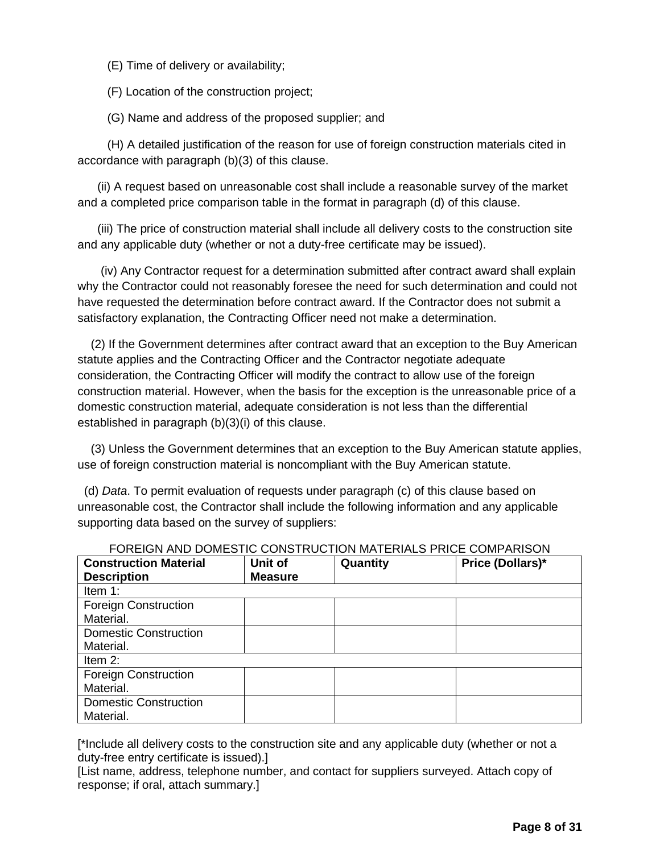(E) Time of delivery or availability;

(F) Location of the construction project;

(G) Name and address of the proposed supplier; and

 (H) A detailed justification of the reason for use of foreign construction materials cited in accordance with paragraph (b)(3) of this clause.

 (ii) A request based on unreasonable cost shall include a reasonable survey of the market and a completed price comparison table in the format in paragraph (d) of this clause.

 (iii) The price of construction material shall include all delivery costs to the construction site and any applicable duty (whether or not a duty-free certificate may be issued).

 (iv) Any Contractor request for a determination submitted after contract award shall explain why the Contractor could not reasonably foresee the need for such determination and could not have requested the determination before contract award. If the Contractor does not submit a satisfactory explanation, the Contracting Officer need not make a determination.

 (2) If the Government determines after contract award that an exception to the Buy American statute applies and the Contracting Officer and the Contractor negotiate adequate consideration, the Contracting Officer will modify the contract to allow use of the foreign construction material. However, when the basis for the exception is the unreasonable price of a domestic construction material, adequate consideration is not less than the differential established in paragraph (b)(3)(i) of this clause.

 (3) Unless the Government determines that an exception to the Buy American statute applies, use of foreign construction material is noncompliant with the Buy American statute.

 (d) *Data*. To permit evaluation of requests under paragraph (c) of this clause based on unreasonable cost, the Contractor shall include the following information and any applicable supporting data based on the survey of suppliers:

FOREIGN AND DOMESTIC CONSTRUCTION MATERIALS PRICE COMPARISON

| <b>Construction Material</b> | Unit of        | Quantity | <b>Price (Dollars)*</b> |
|------------------------------|----------------|----------|-------------------------|
| <b>Description</b>           | <b>Measure</b> |          |                         |
| Item 1:                      |                |          |                         |
| <b>Foreign Construction</b>  |                |          |                         |
| Material.                    |                |          |                         |
| <b>Domestic Construction</b> |                |          |                         |
| Material.                    |                |          |                         |
| Item $2$ :                   |                |          |                         |
| <b>Foreign Construction</b>  |                |          |                         |
| Material.                    |                |          |                         |
| <b>Domestic Construction</b> |                |          |                         |
| Material.                    |                |          |                         |

[\*Include all delivery costs to the construction site and any applicable duty (whether or not a duty-free entry certificate is issued).]

[List name, address, telephone number, and contact for suppliers surveyed. Attach copy of response; if oral, attach summary.]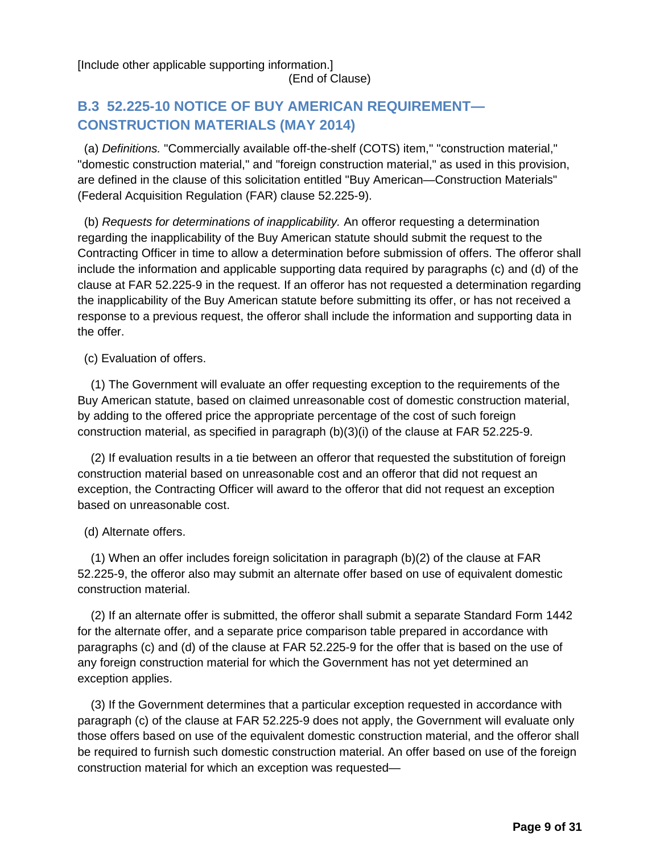[Include other applicable supporting information.] (End of Clause)

## <span id="page-8-0"></span>**B.3 52.225-10 NOTICE OF BUY AMERICAN REQUIREMENT— CONSTRUCTION MATERIALS (MAY 2014)**

 (a) *Definitions.* "Commercially available off-the-shelf (COTS) item," "construction material," "domestic construction material," and "foreign construction material," as used in this provision, are defined in the clause of this solicitation entitled "Buy American—Construction Materials" (Federal Acquisition Regulation (FAR) clause 52.225-9).

 (b) *Requests for determinations of inapplicability.* An offeror requesting a determination regarding the inapplicability of the Buy American statute should submit the request to the Contracting Officer in time to allow a determination before submission of offers. The offeror shall include the information and applicable supporting data required by paragraphs (c) and (d) of the clause at FAR 52.225-9 in the request. If an offeror has not requested a determination regarding the inapplicability of the Buy American statute before submitting its offer, or has not received a response to a previous request, the offeror shall include the information and supporting data in the offer.

(c) Evaluation of offers.

 (1) The Government will evaluate an offer requesting exception to the requirements of the Buy American statute, based on claimed unreasonable cost of domestic construction material, by adding to the offered price the appropriate percentage of the cost of such foreign construction material, as specified in paragraph (b)(3)(i) of the clause at FAR 52.225-9.

 (2) If evaluation results in a tie between an offeror that requested the substitution of foreign construction material based on unreasonable cost and an offeror that did not request an exception, the Contracting Officer will award to the offeror that did not request an exception based on unreasonable cost.

### (d) Alternate offers.

 (1) When an offer includes foreign solicitation in paragraph (b)(2) of the clause at FAR 52.225-9, the offeror also may submit an alternate offer based on use of equivalent domestic construction material.

 (2) If an alternate offer is submitted, the offeror shall submit a separate Standard Form 1442 for the alternate offer, and a separate price comparison table prepared in accordance with paragraphs (c) and (d) of the clause at FAR 52.225-9 for the offer that is based on the use of any foreign construction material for which the Government has not yet determined an exception applies.

 (3) If the Government determines that a particular exception requested in accordance with paragraph (c) of the clause at FAR 52.225-9 does not apply, the Government will evaluate only those offers based on use of the equivalent domestic construction material, and the offeror shall be required to furnish such domestic construction material. An offer based on use of the foreign construction material for which an exception was requested—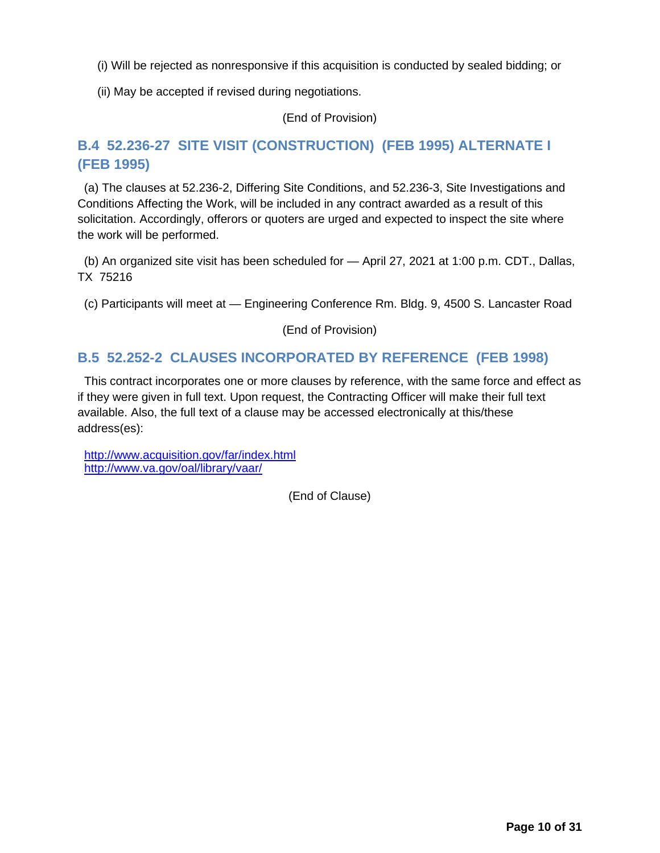- (i) Will be rejected as nonresponsive if this acquisition is conducted by sealed bidding; or
- (ii) May be accepted if revised during negotiations.

(End of Provision)

## <span id="page-9-0"></span>**B.4 52.236-27 SITE VISIT (CONSTRUCTION) (FEB 1995) ALTERNATE I (FEB 1995)**

 (a) The clauses at 52.236-2, Differing Site Conditions, and 52.236-3, Site Investigations and Conditions Affecting the Work, will be included in any contract awarded as a result of this solicitation. Accordingly, offerors or quoters are urged and expected to inspect the site where the work will be performed.

 (b) An organized site visit has been scheduled for — April 27, 2021 at 1:00 p.m. CDT., Dallas, TX 75216

(c) Participants will meet at — Engineering Conference Rm. Bldg. 9, 4500 S. Lancaster Road

(End of Provision)

## <span id="page-9-1"></span>**B.5 52.252-2 CLAUSES INCORPORATED BY REFERENCE (FEB 1998)**

 This contract incorporates one or more clauses by reference, with the same force and effect as if they were given in full text. Upon request, the Contracting Officer will make their full text available. Also, the full text of a clause may be accessed electronically at this/these address(es):

 <http://www.acquisition.gov/far/index.html> <http://www.va.gov/oal/library/vaar/>

(End of Clause)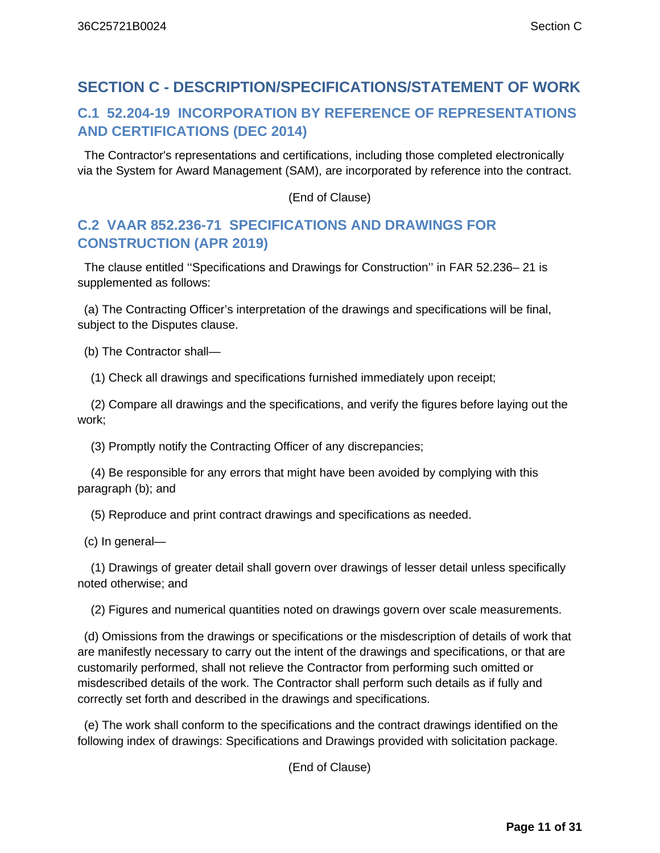## <span id="page-10-0"></span>**SECTION C - DESCRIPTION/SPECIFICATIONS/STATEMENT OF WORK**

# <span id="page-10-1"></span>**C.1 52.204-19 INCORPORATION BY REFERENCE OF REPRESENTATIONS AND CERTIFICATIONS (DEC 2014)**

 The Contractor's representations and certifications, including those completed electronically via the System for Award Management (SAM), are incorporated by reference into the contract.

(End of Clause)

## <span id="page-10-2"></span>**C.2 VAAR 852.236-71 SPECIFICATIONS AND DRAWINGS FOR CONSTRUCTION (APR 2019)**

 The clause entitled ''Specifications and Drawings for Construction'' in FAR 52.236– 21 is supplemented as follows:

 (a) The Contracting Officer's interpretation of the drawings and specifications will be final, subject to the Disputes clause.

(b) The Contractor shall—

(1) Check all drawings and specifications furnished immediately upon receipt;

 (2) Compare all drawings and the specifications, and verify the figures before laying out the work;

(3) Promptly notify the Contracting Officer of any discrepancies;

 (4) Be responsible for any errors that might have been avoided by complying with this paragraph (b); and

(5) Reproduce and print contract drawings and specifications as needed.

(c) In general—

 (1) Drawings of greater detail shall govern over drawings of lesser detail unless specifically noted otherwise; and

(2) Figures and numerical quantities noted on drawings govern over scale measurements.

 (d) Omissions from the drawings or specifications or the misdescription of details of work that are manifestly necessary to carry out the intent of the drawings and specifications, or that are customarily performed, shall not relieve the Contractor from performing such omitted or misdescribed details of the work. The Contractor shall perform such details as if fully and correctly set forth and described in the drawings and specifications.

 (e) The work shall conform to the specifications and the contract drawings identified on the following index of drawings: Specifications and Drawings provided with solicitation package.

(End of Clause)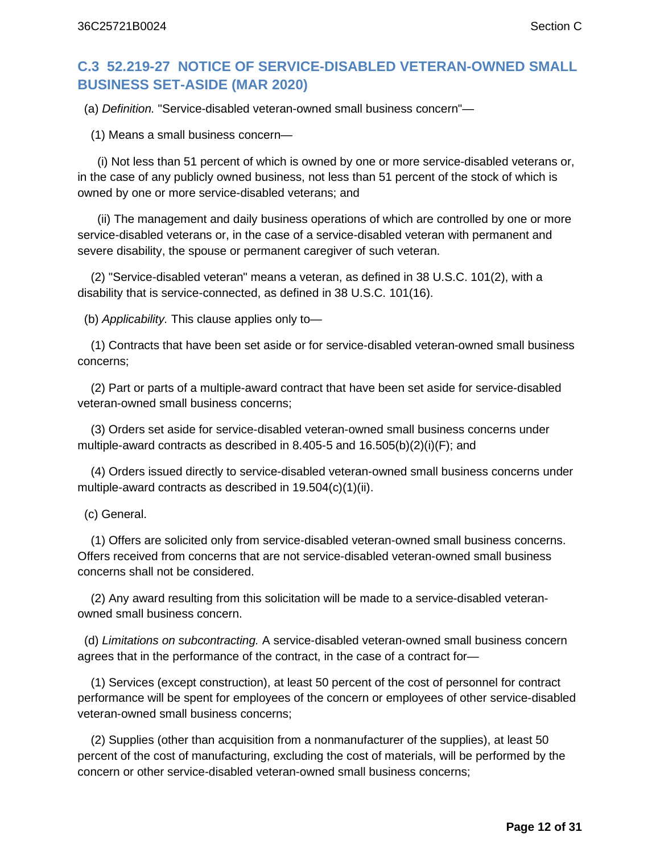# <span id="page-11-0"></span>**C.3 52.219-27 NOTICE OF SERVICE-DISABLED VETERAN-OWNED SMALL BUSINESS SET-ASIDE (MAR 2020)**

(a) *Definition.* "Service-disabled veteran-owned small business concern"—

(1) Means a small business concern—

 (i) Not less than 51 percent of which is owned by one or more service-disabled veterans or, in the case of any publicly owned business, not less than 51 percent of the stock of which is owned by one or more service-disabled veterans; and

 (ii) The management and daily business operations of which are controlled by one or more service-disabled veterans or, in the case of a service-disabled veteran with permanent and severe disability, the spouse or permanent caregiver of such veteran.

 (2) "Service-disabled veteran" means a veteran, as defined in 38 U.S.C. 101(2), with a disability that is service-connected, as defined in 38 U.S.C. 101(16).

(b) *Applicability.* This clause applies only to—

 (1) Contracts that have been set aside or for service-disabled veteran-owned small business concerns;

 (2) Part or parts of a multiple-award contract that have been set aside for service-disabled veteran-owned small business concerns;

 (3) Orders set aside for service-disabled veteran-owned small business concerns under multiple-award contracts as described in 8.405-5 and 16.505(b)(2)(i)(F); and

 (4) Orders issued directly to service-disabled veteran-owned small business concerns under multiple-award contracts as described in 19.504(c)(1)(ii).

(c) General.

 (1) Offers are solicited only from service-disabled veteran-owned small business concerns. Offers received from concerns that are not service-disabled veteran-owned small business concerns shall not be considered.

 (2) Any award resulting from this solicitation will be made to a service-disabled veteranowned small business concern.

 (d) *Limitations on subcontracting.* A service-disabled veteran-owned small business concern agrees that in the performance of the contract, in the case of a contract for—

 (1) Services (except construction), at least 50 percent of the cost of personnel for contract performance will be spent for employees of the concern or employees of other service-disabled veteran-owned small business concerns;

 (2) Supplies (other than acquisition from a nonmanufacturer of the supplies), at least 50 percent of the cost of manufacturing, excluding the cost of materials, will be performed by the concern or other service-disabled veteran-owned small business concerns;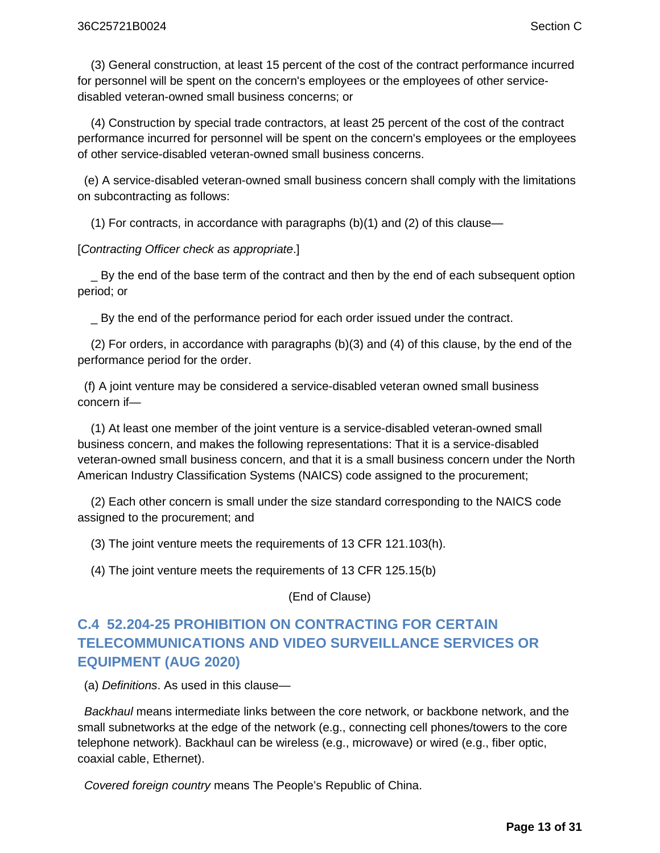(3) General construction, at least 15 percent of the cost of the contract performance incurred for personnel will be spent on the concern's employees or the employees of other servicedisabled veteran-owned small business concerns; or

 (4) Construction by special trade contractors, at least 25 percent of the cost of the contract performance incurred for personnel will be spent on the concern's employees or the employees of other service-disabled veteran-owned small business concerns.

 (e) A service-disabled veteran-owned small business concern shall comply with the limitations on subcontracting as follows:

(1) For contracts, in accordance with paragraphs (b)(1) and (2) of this clause—

[*Contracting Officer check as appropriate*.]

 \_ By the end of the base term of the contract and then by the end of each subsequent option period; or

\_ By the end of the performance period for each order issued under the contract.

 (2) For orders, in accordance with paragraphs (b)(3) and (4) of this clause, by the end of the performance period for the order.

 (f) A joint venture may be considered a service-disabled veteran owned small business concern if—

 (1) At least one member of the joint venture is a service-disabled veteran-owned small business concern, and makes the following representations: That it is a service-disabled veteran-owned small business concern, and that it is a small business concern under the North American Industry Classification Systems (NAICS) code assigned to the procurement;

 (2) Each other concern is small under the size standard corresponding to the NAICS code assigned to the procurement; and

(3) The joint venture meets the requirements of 13 CFR 121.103(h).

(4) The joint venture meets the requirements of 13 CFR 125.15(b)

(End of Clause)

# <span id="page-12-0"></span>**C.4 52.204-25 PROHIBITION ON CONTRACTING FOR CERTAIN TELECOMMUNICATIONS AND VIDEO SURVEILLANCE SERVICES OR EQUIPMENT (AUG 2020)**

(a) *Definitions*. As used in this clause—

 *Backhaul* means intermediate links between the core network, or backbone network, and the small subnetworks at the edge of the network (e.g., connecting cell phones/towers to the core telephone network). Backhaul can be wireless (e.g., microwave) or wired (e.g., fiber optic, coaxial cable, Ethernet).

 *Covered foreign country* means The People's Republic of China.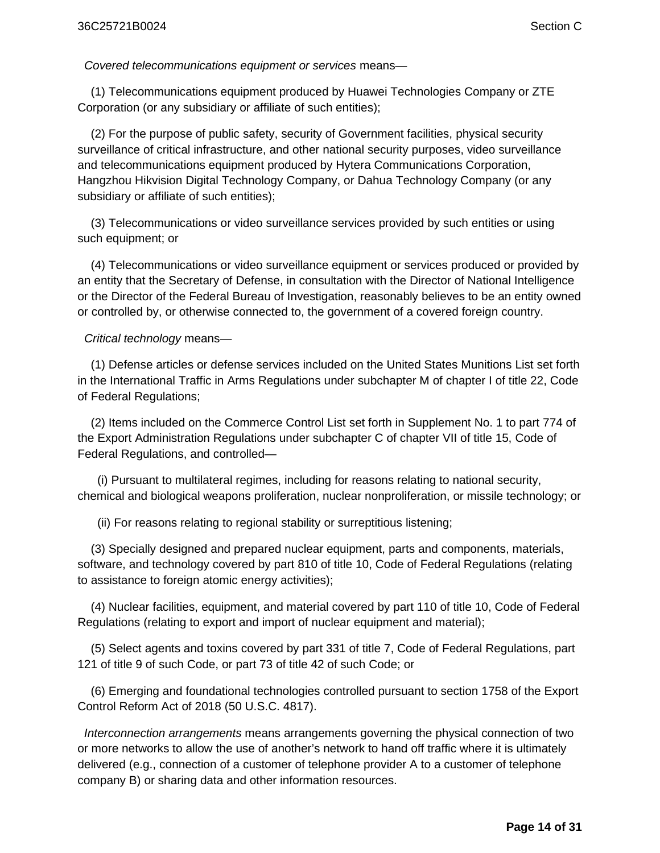*Covered telecommunications equipment or services* means—

 (1) Telecommunications equipment produced by Huawei Technologies Company or ZTE Corporation (or any subsidiary or affiliate of such entities);

 (2) For the purpose of public safety, security of Government facilities, physical security surveillance of critical infrastructure, and other national security purposes, video surveillance and telecommunications equipment produced by Hytera Communications Corporation, Hangzhou Hikvision Digital Technology Company, or Dahua Technology Company (or any subsidiary or affiliate of such entities);

 (3) Telecommunications or video surveillance services provided by such entities or using such equipment; or

 (4) Telecommunications or video surveillance equipment or services produced or provided by an entity that the Secretary of Defense, in consultation with the Director of National Intelligence or the Director of the Federal Bureau of Investigation, reasonably believes to be an entity owned or controlled by, or otherwise connected to, the government of a covered foreign country.

#### *Critical technology* means—

 (1) Defense articles or defense services included on the United States Munitions List set forth in the International Traffic in Arms Regulations under subchapter M of chapter I of title 22, Code of Federal Regulations;

 (2) Items included on the Commerce Control List set forth in Supplement No. 1 to part 774 of the Export Administration Regulations under subchapter C of chapter VII of title 15, Code of Federal Regulations, and controlled—

 (i) Pursuant to multilateral regimes, including for reasons relating to national security, chemical and biological weapons proliferation, nuclear nonproliferation, or missile technology; or

(ii) For reasons relating to regional stability or surreptitious listening;

 (3) Specially designed and prepared nuclear equipment, parts and components, materials, software, and technology covered by part 810 of title 10, Code of Federal Regulations (relating to assistance to foreign atomic energy activities);

 (4) Nuclear facilities, equipment, and material covered by part 110 of title 10, Code of Federal Regulations (relating to export and import of nuclear equipment and material);

 (5) Select agents and toxins covered by part 331 of title 7, Code of Federal Regulations, part 121 of title 9 of such Code, or part 73 of title 42 of such Code; or

 (6) Emerging and foundational technologies controlled pursuant to section 1758 of the Export Control Reform Act of 2018 (50 U.S.C. 4817).

 *Interconnection arrangements* means arrangements governing the physical connection of two or more networks to allow the use of another's network to hand off traffic where it is ultimately delivered (e.g., connection of a customer of telephone provider A to a customer of telephone company B) or sharing data and other information resources.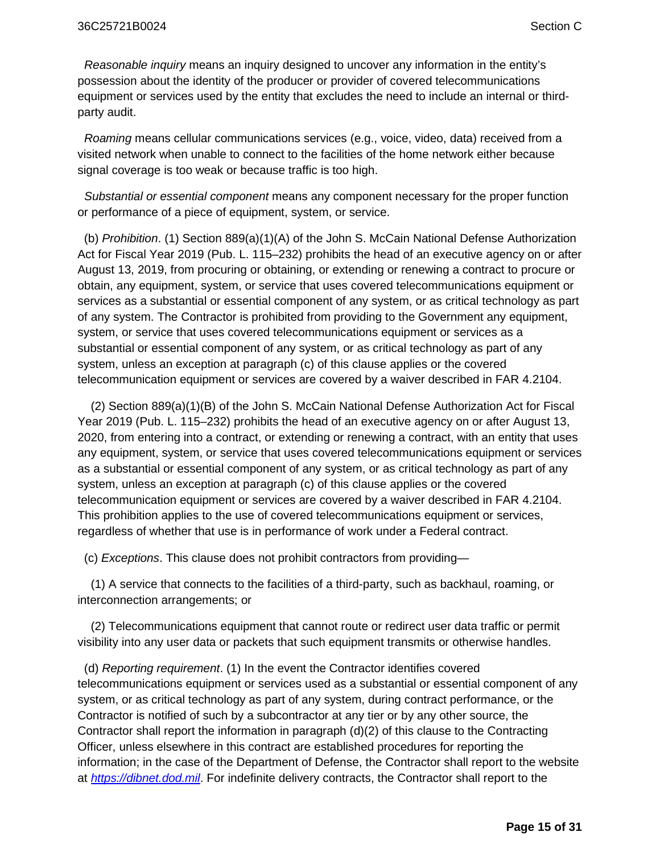*Reasonable inquiry* means an inquiry designed to uncover any information in the entity's possession about the identity of the producer or provider of covered telecommunications equipment or services used by the entity that excludes the need to include an internal or thirdparty audit.

 *Roaming* means cellular communications services (e.g., voice, video, data) received from a visited network when unable to connect to the facilities of the home network either because signal coverage is too weak or because traffic is too high.

 *Substantial or essential component* means any component necessary for the proper function or performance of a piece of equipment, system, or service.

 (b) *Prohibition*. (1) Section 889(a)(1)(A) of the John S. McCain National Defense Authorization Act for Fiscal Year 2019 (Pub. L. 115–232) prohibits the head of an executive agency on or after August 13, 2019, from procuring or obtaining, or extending or renewing a contract to procure or obtain, any equipment, system, or service that uses covered telecommunications equipment or services as a substantial or essential component of any system, or as critical technology as part of any system. The Contractor is prohibited from providing to the Government any equipment, system, or service that uses covered telecommunications equipment or services as a substantial or essential component of any system, or as critical technology as part of any system, unless an exception at paragraph (c) of this clause applies or the covered telecommunication equipment or services are covered by a waiver described in FAR 4.2104.

 (2) Section 889(a)(1)(B) of the John S. McCain National Defense Authorization Act for Fiscal Year 2019 (Pub. L. 115–232) prohibits the head of an executive agency on or after August 13, 2020, from entering into a contract, or extending or renewing a contract, with an entity that uses any equipment, system, or service that uses covered telecommunications equipment or services as a substantial or essential component of any system, or as critical technology as part of any system, unless an exception at paragraph (c) of this clause applies or the covered telecommunication equipment or services are covered by a waiver described in FAR 4.2104. This prohibition applies to the use of covered telecommunications equipment or services, regardless of whether that use is in performance of work under a Federal contract.

(c) *Exceptions*. This clause does not prohibit contractors from providing—

 (1) A service that connects to the facilities of a third-party, such as backhaul, roaming, or interconnection arrangements; or

 (2) Telecommunications equipment that cannot route or redirect user data traffic or permit visibility into any user data or packets that such equipment transmits or otherwise handles.

 (d) *Reporting requirement*. (1) In the event the Contractor identifies covered telecommunications equipment or services used as a substantial or essential component of any system, or as critical technology as part of any system, during contract performance, or the Contractor is notified of such by a subcontractor at any tier or by any other source, the Contractor shall report the information in paragraph (d)(2) of this clause to the Contracting Officer, unless elsewhere in this contract are established procedures for reporting the information; in the case of the Department of Defense, the Contractor shall report to the website at *[https://dibnet.dod.mil](https://dibnet.dod.mil/)*. For indefinite delivery contracts, the Contractor shall report to the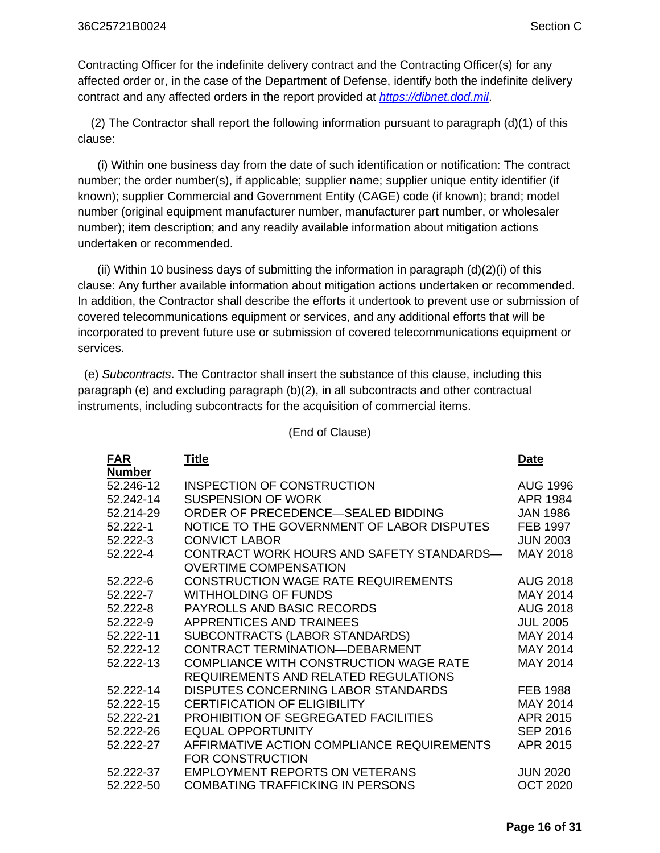Contracting Officer for the indefinite delivery contract and the Contracting Officer(s) for any affected order or, in the case of the Department of Defense, identify both the indefinite delivery contract and any affected orders in the report provided at *[https://dibnet.dod.mil](https://dibnet.dod.mil/)*.

 (2) The Contractor shall report the following information pursuant to paragraph (d)(1) of this clause:

 (i) Within one business day from the date of such identification or notification: The contract number; the order number(s), if applicable; supplier name; supplier unique entity identifier (if known); supplier Commercial and Government Entity (CAGE) code (if known); brand; model number (original equipment manufacturer number, manufacturer part number, or wholesaler number); item description; and any readily available information about mitigation actions undertaken or recommended.

(ii) Within 10 business days of submitting the information in paragraph  $(d)(2)(i)$  of this clause: Any further available information about mitigation actions undertaken or recommended. In addition, the Contractor shall describe the efforts it undertook to prevent use or submission of covered telecommunications equipment or services, and any additional efforts that will be incorporated to prevent future use or submission of covered telecommunications equipment or services.

 (e) *Subcontracts*. The Contractor shall insert the substance of this clause, including this paragraph (e) and excluding paragraph (b)(2), in all subcontracts and other contractual instruments, including subcontracts for the acquisition of commercial items.

(End of Clause)

| <b>FAR</b>    | Title                                         | Date            |
|---------------|-----------------------------------------------|-----------------|
| <b>Number</b> |                                               |                 |
| 52.246-12     | <b>INSPECTION OF CONSTRUCTION</b>             | <b>AUG 1996</b> |
| 52.242-14     | <b>SUSPENSION OF WORK</b>                     | APR 1984        |
| 52.214-29     | ORDER OF PRECEDENCE-SEALED BIDDING            | <b>JAN 1986</b> |
| 52.222-1      | NOTICE TO THE GOVERNMENT OF LABOR DISPUTES    | <b>FEB 1997</b> |
| 52.222-3      | <b>CONVICT LABOR</b>                          | <b>JUN 2003</b> |
| 52.222-4      | CONTRACT WORK HOURS AND SAFETY STANDARDS-     | <b>MAY 2018</b> |
|               | <b>OVERTIME COMPENSATION</b>                  |                 |
| 52.222-6      | <b>CONSTRUCTION WAGE RATE REQUIREMENTS</b>    | <b>AUG 2018</b> |
| 52.222-7      | <b>WITHHOLDING OF FUNDS</b>                   | <b>MAY 2014</b> |
| 52.222-8      | PAYROLLS AND BASIC RECORDS                    | <b>AUG 2018</b> |
| 52.222-9      | APPRENTICES AND TRAINEES                      | <b>JUL 2005</b> |
| 52.222-11     | SUBCONTRACTS (LABOR STANDARDS)                | <b>MAY 2014</b> |
| 52.222-12     | CONTRACT TERMINATION-DEBARMENT                | <b>MAY 2014</b> |
| 52.222-13     | <b>COMPLIANCE WITH CONSTRUCTION WAGE RATE</b> | <b>MAY 2014</b> |
|               | <b>REQUIREMENTS AND RELATED REGULATIONS</b>   |                 |
| 52.222-14     | DISPUTES CONCERNING LABOR STANDARDS           | <b>FEB 1988</b> |
| 52.222-15     | <b>CERTIFICATION OF ELIGIBILITY</b>           | <b>MAY 2014</b> |
| 52.222-21     | <b>PROHIBITION OF SEGREGATED FACILITIES</b>   | APR 2015        |
| 52.222-26     | <b>EQUAL OPPORTUNITY</b>                      | <b>SEP 2016</b> |
| 52.222-27     | AFFIRMATIVE ACTION COMPLIANCE REQUIREMENTS    | APR 2015        |
|               | <b>FOR CONSTRUCTION</b>                       |                 |
| 52.222-37     | <b>EMPLOYMENT REPORTS ON VETERANS</b>         | <b>JUN 2020</b> |
| 52.222-50     | <b>COMBATING TRAFFICKING IN PERSONS</b>       | <b>OCT 2020</b> |
|               |                                               |                 |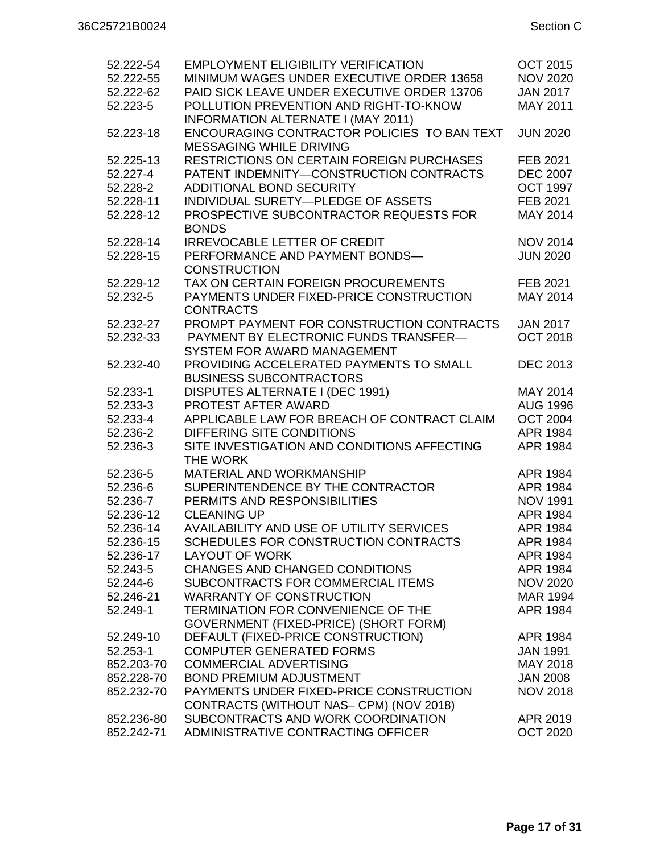| 52.222-54  | <b>EMPLOYMENT ELIGIBILITY VERIFICATION</b>       | <b>OCT 2015</b> |
|------------|--------------------------------------------------|-----------------|
| 52.222-55  | MINIMUM WAGES UNDER EXECUTIVE ORDER 13658        | <b>NOV 2020</b> |
| 52.222-62  | PAID SICK LEAVE UNDER EXECUTIVE ORDER 13706      | <b>JAN 2017</b> |
| 52.223-5   | POLLUTION PREVENTION AND RIGHT-TO-KNOW           | <b>MAY 2011</b> |
|            | INFORMATION ALTERNATE I (MAY 2011)               |                 |
| 52.223-18  | ENCOURAGING CONTRACTOR POLICIES TO BAN TEXT      | <b>JUN 2020</b> |
|            | <b>MESSAGING WHILE DRIVING</b>                   |                 |
| 52.225-13  | <b>RESTRICTIONS ON CERTAIN FOREIGN PURCHASES</b> | FEB 2021        |
| 52.227-4   | PATENT INDEMNITY-CONSTRUCTION CONTRACTS          | <b>DEC 2007</b> |
| 52.228-2   | <b>ADDITIONAL BOND SECURITY</b>                  | <b>OCT 1997</b> |
| 52.228-11  | INDIVIDUAL SURETY-PLEDGE OF ASSETS               | FEB 2021        |
| 52.228-12  | PROSPECTIVE SUBCONTRACTOR REQUESTS FOR           | <b>MAY 2014</b> |
|            | <b>BONDS</b>                                     |                 |
| 52.228-14  | <b>IRREVOCABLE LETTER OF CREDIT</b>              | <b>NOV 2014</b> |
| 52.228-15  | PERFORMANCE AND PAYMENT BONDS-                   | <b>JUN 2020</b> |
|            | <b>CONSTRUCTION</b>                              |                 |
| 52.229-12  | TAX ON CERTAIN FOREIGN PROCUREMENTS              | FEB 2021        |
| 52.232-5   | PAYMENTS UNDER FIXED-PRICE CONSTRUCTION          | <b>MAY 2014</b> |
|            | <b>CONTRACTS</b>                                 |                 |
| 52.232-27  | PROMPT PAYMENT FOR CONSTRUCTION CONTRACTS        | <b>JAN 2017</b> |
| 52.232-33  | PAYMENT BY ELECTRONIC FUNDS TRANSFER-            | <b>OCT 2018</b> |
|            | <b>SYSTEM FOR AWARD MANAGEMENT</b>               |                 |
| 52.232-40  | PROVIDING ACCELERATED PAYMENTS TO SMALL          | <b>DEC 2013</b> |
|            | <b>BUSINESS SUBCONTRACTORS</b>                   |                 |
| 52.233-1   | DISPUTES ALTERNATE I (DEC 1991)                  | <b>MAY 2014</b> |
| 52.233-3   | PROTEST AFTER AWARD                              | <b>AUG 1996</b> |
| 52.233-4   | APPLICABLE LAW FOR BREACH OF CONTRACT CLAIM      | <b>OCT 2004</b> |
| 52.236-2   | DIFFERING SITE CONDITIONS                        | <b>APR 1984</b> |
| 52.236-3   | SITE INVESTIGATION AND CONDITIONS AFFECTING      | <b>APR 1984</b> |
|            | <b>THE WORK</b>                                  |                 |
| 52.236-5   | MATERIAL AND WORKMANSHIP                         | APR 1984        |
| 52.236-6   | SUPERINTENDENCE BY THE CONTRACTOR                | <b>APR 1984</b> |
| 52.236-7   | PERMITS AND RESPONSIBILITIES                     | <b>NOV 1991</b> |
| 52.236-12  | <b>CLEANING UP</b>                               | APR 1984        |
| 52.236-14  | <b>AVAILABILITY AND USE OF UTILITY SERVICES</b>  | APR 1984        |
| 52.236-15  | SCHEDULES FOR CONSTRUCTION CONTRACTS             | APR 1984        |
| 52.236-17  | <b>LAYOUT OF WORK</b>                            | APR 1984        |
| 52.243-5   | <b>CHANGES AND CHANGED CONDITIONS</b>            | APR 1984        |
| 52.244-6   | SUBCONTRACTS FOR COMMERCIAL ITEMS                | <b>NOV 2020</b> |
| 52.246-21  | <b>WARRANTY OF CONSTRUCTION</b>                  | <b>MAR 1994</b> |
| 52.249-1   | <b>TERMINATION FOR CONVENIENCE OF THE</b>        | APR 1984        |
|            | GOVERNMENT (FIXED-PRICE) (SHORT FORM)            |                 |
| 52.249-10  | DEFAULT (FIXED-PRICE CONSTRUCTION)               | APR 1984        |
| 52.253-1   | <b>COMPUTER GENERATED FORMS</b>                  | <b>JAN 1991</b> |
| 852.203-70 | <b>COMMERCIAL ADVERTISING</b>                    | <b>MAY 2018</b> |
| 852.228-70 | <b>BOND PREMIUM ADJUSTMENT</b>                   | <b>JAN 2008</b> |
| 852.232-70 | PAYMENTS UNDER FIXED-PRICE CONSTRUCTION          | <b>NOV 2018</b> |
|            | CONTRACTS (WITHOUT NAS-CPM) (NOV 2018)           |                 |
| 852.236-80 | SUBCONTRACTS AND WORK COORDINATION               | APR 2019        |
| 852.242-71 | ADMINISTRATIVE CONTRACTING OFFICER               | <b>OCT 2020</b> |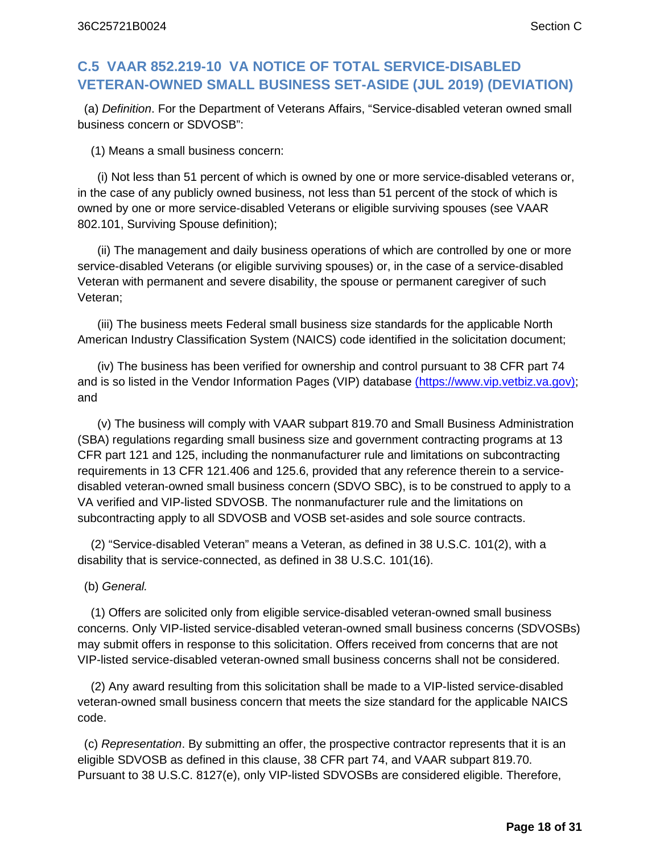# <span id="page-17-0"></span>**C.5 VAAR 852.219-10 VA NOTICE OF TOTAL SERVICE-DISABLED VETERAN-OWNED SMALL BUSINESS SET-ASIDE (JUL 2019) (DEVIATION)**

 (a) *Definition*. For the Department of Veterans Affairs, "Service-disabled veteran owned small business concern or SDVOSB":

(1) Means a small business concern:

 (i) Not less than 51 percent of which is owned by one or more service-disabled veterans or, in the case of any publicly owned business, not less than 51 percent of the stock of which is owned by one or more service-disabled Veterans or eligible surviving spouses (see VAAR 802.101, Surviving Spouse definition);

 (ii) The management and daily business operations of which are controlled by one or more service-disabled Veterans (or eligible surviving spouses) or, in the case of a service-disabled Veteran with permanent and severe disability, the spouse or permanent caregiver of such Veteran;

 (iii) The business meets Federal small business size standards for the applicable North American Industry Classification System (NAICS) code identified in the solicitation document;

 (iv) The business has been verified for ownership and control pursuant to 38 CFR part 74 and is so listed in the Vendor Information Pages (VIP) database (https://www.vip.vetbiz.va.gov); and

 (v) The business will comply with VAAR subpart 819.70 and Small Business Administration (SBA) regulations regarding small business size and government contracting programs at 13 CFR part 121 and 125, including the nonmanufacturer rule and limitations on subcontracting requirements in 13 CFR 121.406 and 125.6, provided that any reference therein to a servicedisabled veteran-owned small business concern (SDVO SBC), is to be construed to apply to a VA verified and VIP-listed SDVOSB. The nonmanufacturer rule and the limitations on subcontracting apply to all SDVOSB and VOSB set-asides and sole source contracts.

 (2) "Service-disabled Veteran" means a Veteran, as defined in 38 U.S.C. 101(2), with a disability that is service-connected, as defined in 38 U.S.C. 101(16).

(b) *General.*

 (1) Offers are solicited only from eligible service-disabled veteran-owned small business concerns. Only VIP-listed service-disabled veteran-owned small business concerns (SDVOSBs) may submit offers in response to this solicitation. Offers received from concerns that are not VIP-listed service-disabled veteran-owned small business concerns shall not be considered.

 (2) Any award resulting from this solicitation shall be made to a VIP-listed service-disabled veteran-owned small business concern that meets the size standard for the applicable NAICS code.

 (c) *Representation*. By submitting an offer, the prospective contractor represents that it is an eligible SDVOSB as defined in this clause, 38 CFR part 74, and VAAR subpart 819.70. Pursuant to 38 U.S.C. 8127(e), only VIP-listed SDVOSBs are considered eligible. Therefore,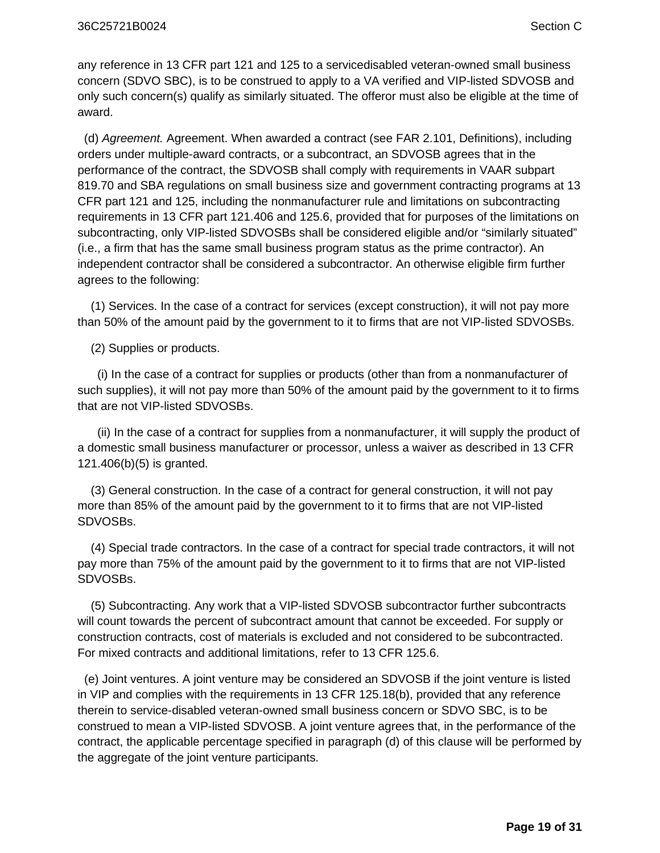any reference in 13 CFR part 121 and 125 to a servicedisabled veteran-owned small business concern (SDVO SBC), is to be construed to apply to a VA verified and VIP-listed SDVOSB and only such concern(s) qualify as similarly situated. The offeror must also be eligible at the time of award.

(d) *Agreement.* Agreement. When awarded a contract (see FAR 2.101, Definitions), including orders under multiple-award contracts, or a subcontract, an SDVOSB agrees that in the performance of the contract, the SDVOSB shall comply with requirements in VAAR subpart 819.70 and SBA regulations on small business size and government contracting programs at 13 CFR part 121 and 125, including the nonmanufacturer rule and limitations on subcontracting requirements in 13 CFR part 121.406 and 125.6, provided that for purposes of the limitations on subcontracting, only VIP-listed SDVOSBs shall be considered eligible and/or "similarly situated" (i.e., a firm that has the same small business program status as the prime contractor). An independent contractor shall be considered a subcontractor. An otherwise eligible firm further agrees to the following:

 (1) Services. In the case of a contract for services (except construction), it will not pay more than 50% of the amount paid by the government to it to firms that are not VIP-listed SDVOSBs.

(2) Supplies or products.

 (i) In the case of a contract for supplies or products (other than from a nonmanufacturer of such supplies), it will not pay more than 50% of the amount paid by the government to it to firms that are not VIP-listed SDVOSBs.

 (ii) In the case of a contract for supplies from a nonmanufacturer, it will supply the product of a domestic small business manufacturer or processor, unless a waiver as described in 13 CFR 121.406(b)(5) is granted.

 (3) General construction. In the case of a contract for general construction, it will not pay more than 85% of the amount paid by the government to it to firms that are not VIP-listed SDVOSBs.

 (4) Special trade contractors. In the case of a contract for special trade contractors, it will not pay more than 75% of the amount paid by the government to it to firms that are not VIP-listed SDVOSBs.

 (5) Subcontracting. Any work that a VIP-listed SDVOSB subcontractor further subcontracts will count towards the percent of subcontract amount that cannot be exceeded. For supply or construction contracts, cost of materials is excluded and not considered to be subcontracted. For mixed contracts and additional limitations, refer to 13 CFR 125.6.

 (e) Joint ventures. A joint venture may be considered an SDVOSB if the joint venture is listed in VIP and complies with the requirements in 13 CFR 125.18(b), provided that any reference therein to service-disabled veteran-owned small business concern or SDVO SBC, is to be construed to mean a VIP-listed SDVOSB. A joint venture agrees that, in the performance of the contract, the applicable percentage specified in paragraph (d) of this clause will be performed by the aggregate of the joint venture participants.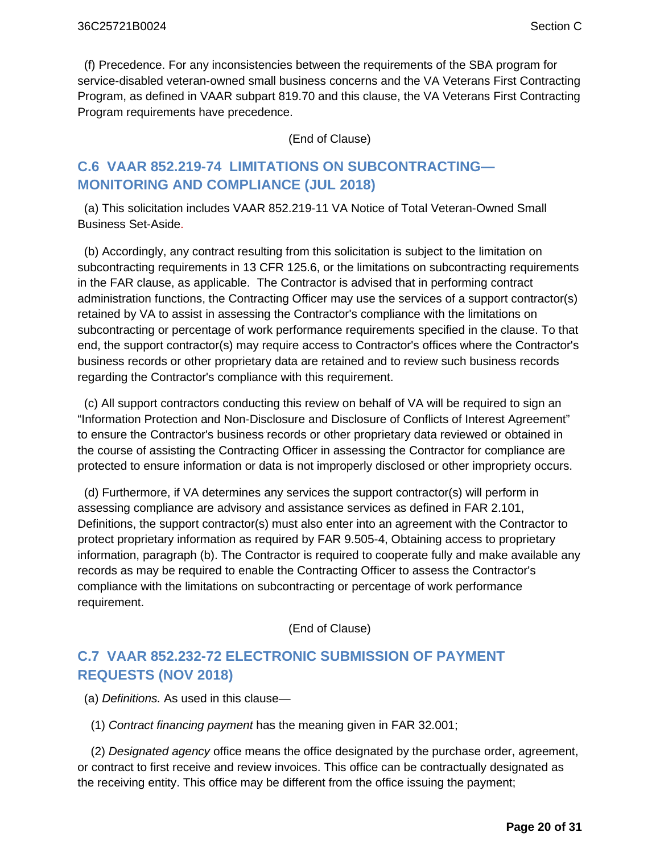(f) Precedence. For any inconsistencies between the requirements of the SBA program for service-disabled veteran-owned small business concerns and the VA Veterans First Contracting Program, as defined in VAAR subpart 819.70 and this clause, the VA Veterans First Contracting Program requirements have precedence.

(End of Clause)

## <span id="page-19-0"></span>**C.6 VAAR 852.219-74 LIMITATIONS ON SUBCONTRACTING— MONITORING AND COMPLIANCE (JUL 2018)**

 (a) This solicitation includes VAAR 852.219-11 VA Notice of Total Veteran-Owned Small Business Set-Aside.

 (b) Accordingly, any contract resulting from this solicitation is subject to the limitation on subcontracting requirements in 13 CFR 125.6, or the limitations on subcontracting requirements in the FAR clause, as applicable. The Contractor is advised that in performing contract administration functions, the Contracting Officer may use the services of a support contractor(s) retained by VA to assist in assessing the Contractor's compliance with the limitations on subcontracting or percentage of work performance requirements specified in the clause. To that end, the support contractor(s) may require access to Contractor's offices where the Contractor's business records or other proprietary data are retained and to review such business records regarding the Contractor's compliance with this requirement.

 (c) All support contractors conducting this review on behalf of VA will be required to sign an "Information Protection and Non-Disclosure and Disclosure of Conflicts of Interest Agreement" to ensure the Contractor's business records or other proprietary data reviewed or obtained in the course of assisting the Contracting Officer in assessing the Contractor for compliance are protected to ensure information or data is not improperly disclosed or other impropriety occurs.

 (d) Furthermore, if VA determines any services the support contractor(s) will perform in assessing compliance are advisory and assistance services as defined in FAR 2.101, Definitions, the support contractor(s) must also enter into an agreement with the Contractor to protect proprietary information as required by FAR 9.505-4, Obtaining access to proprietary information, paragraph (b). The Contractor is required to cooperate fully and make available any records as may be required to enable the Contracting Officer to assess the Contractor's compliance with the limitations on subcontracting or percentage of work performance requirement.

(End of Clause)

## <span id="page-19-1"></span>**C.7 VAAR 852.232-72 ELECTRONIC SUBMISSION OF PAYMENT REQUESTS (NOV 2018)**

(a) *Definitions.* As used in this clause—

(1) *Contract financing payment* has the meaning given in FAR 32.001;

 (2) *Designated agency* office means the office designated by the purchase order, agreement, or contract to first receive and review invoices. This office can be contractually designated as the receiving entity. This office may be different from the office issuing the payment;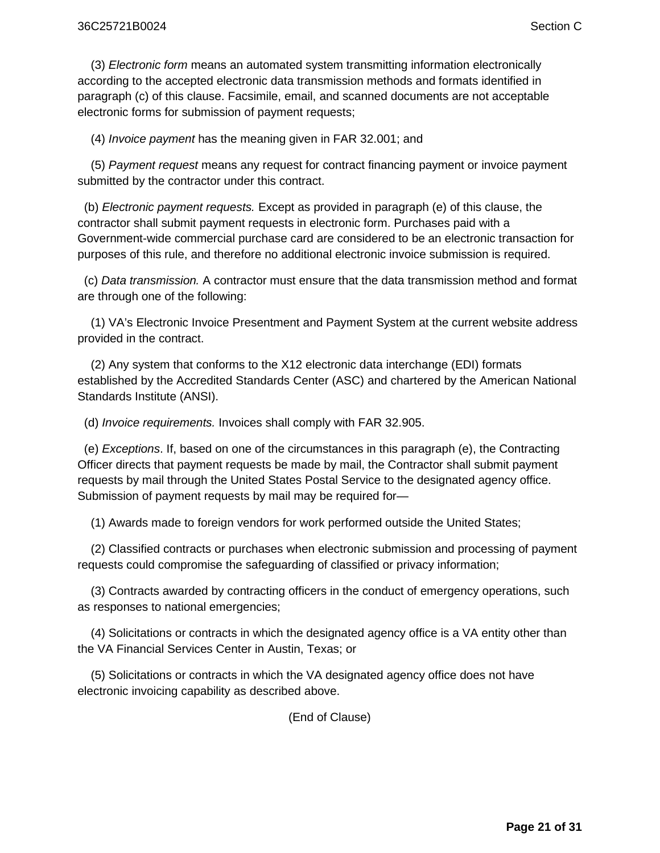(3) *Electronic form* means an automated system transmitting information electronically according to the accepted electronic data transmission methods and formats identified in paragraph (c) of this clause. Facsimile, email, and scanned documents are not acceptable electronic forms for submission of payment requests;

(4) *Invoice payment* has the meaning given in FAR 32.001; and

 (5) *Payment request* means any request for contract financing payment or invoice payment submitted by the contractor under this contract.

 (b) *Electronic payment requests.* Except as provided in paragraph (e) of this clause, the contractor shall submit payment requests in electronic form. Purchases paid with a Government-wide commercial purchase card are considered to be an electronic transaction for purposes of this rule, and therefore no additional electronic invoice submission is required.

 (c) *Data transmission.* A contractor must ensure that the data transmission method and format are through one of the following:

 (1) VA's Electronic Invoice Presentment and Payment System at the current website address provided in the contract.

 (2) Any system that conforms to the X12 electronic data interchange (EDI) formats established by the Accredited Standards Center (ASC) and chartered by the American National Standards Institute (ANSI).

(d) *Invoice requirements.* Invoices shall comply with FAR 32.905.

 (e) *Exceptions*. If, based on one of the circumstances in this paragraph (e), the Contracting Officer directs that payment requests be made by mail, the Contractor shall submit payment requests by mail through the United States Postal Service to the designated agency office. Submission of payment requests by mail may be required for—

(1) Awards made to foreign vendors for work performed outside the United States;

 (2) Classified contracts or purchases when electronic submission and processing of payment requests could compromise the safeguarding of classified or privacy information;

 (3) Contracts awarded by contracting officers in the conduct of emergency operations, such as responses to national emergencies;

 (4) Solicitations or contracts in which the designated agency office is a VA entity other than the VA Financial Services Center in Austin, Texas; or

 (5) Solicitations or contracts in which the VA designated agency office does not have electronic invoicing capability as described above.

(End of Clause)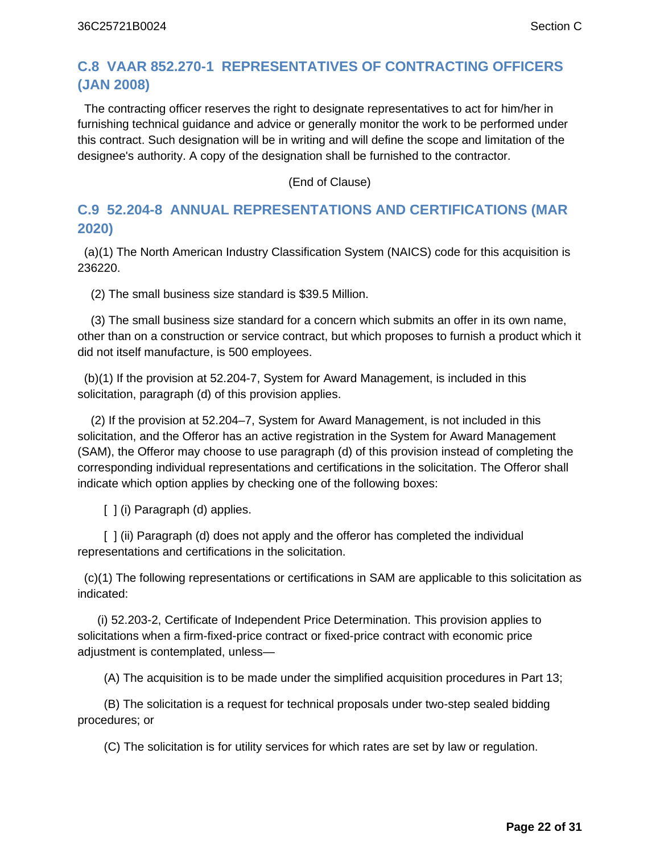## <span id="page-21-0"></span>**C.8 VAAR 852.270-1 REPRESENTATIVES OF CONTRACTING OFFICERS (JAN 2008)**

 The contracting officer reserves the right to designate representatives to act for him/her in furnishing technical guidance and advice or generally monitor the work to be performed under this contract. Such designation will be in writing and will define the scope and limitation of the designee's authority. A copy of the designation shall be furnished to the contractor.

#### (End of Clause)

## <span id="page-21-1"></span>**C.9 52.204-8 ANNUAL REPRESENTATIONS AND CERTIFICATIONS (MAR 2020)**

 (a)(1) The North American Industry Classification System (NAICS) code for this acquisition is 236220.

(2) The small business size standard is \$39.5 Million.

 (3) The small business size standard for a concern which submits an offer in its own name, other than on a construction or service contract, but which proposes to furnish a product which it did not itself manufacture, is 500 employees.

 (b)(1) If the provision at 52.204-7, System for Award Management, is included in this solicitation, paragraph (d) of this provision applies.

 (2) If the provision at 52.204–7, System for Award Management, is not included in this solicitation, and the Offeror has an active registration in the System for Award Management (SAM), the Offeror may choose to use paragraph (d) of this provision instead of completing the corresponding individual representations and certifications in the solicitation. The Offeror shall indicate which option applies by checking one of the following boxes:

[ ] (i) Paragraph (d) applies.

 [ ] (ii) Paragraph (d) does not apply and the offeror has completed the individual representations and certifications in the solicitation.

 (c)(1) The following representations or certifications in SAM are applicable to this solicitation as indicated:

 (i) 52.203-2, Certificate of Independent Price Determination. This provision applies to solicitations when a firm-fixed-price contract or fixed-price contract with economic price adjustment is contemplated, unless—

(A) The acquisition is to be made under the simplified acquisition procedures in Part 13;

 (B) The solicitation is a request for technical proposals under two-step sealed bidding procedures; or

(C) The solicitation is for utility services for which rates are set by law or regulation.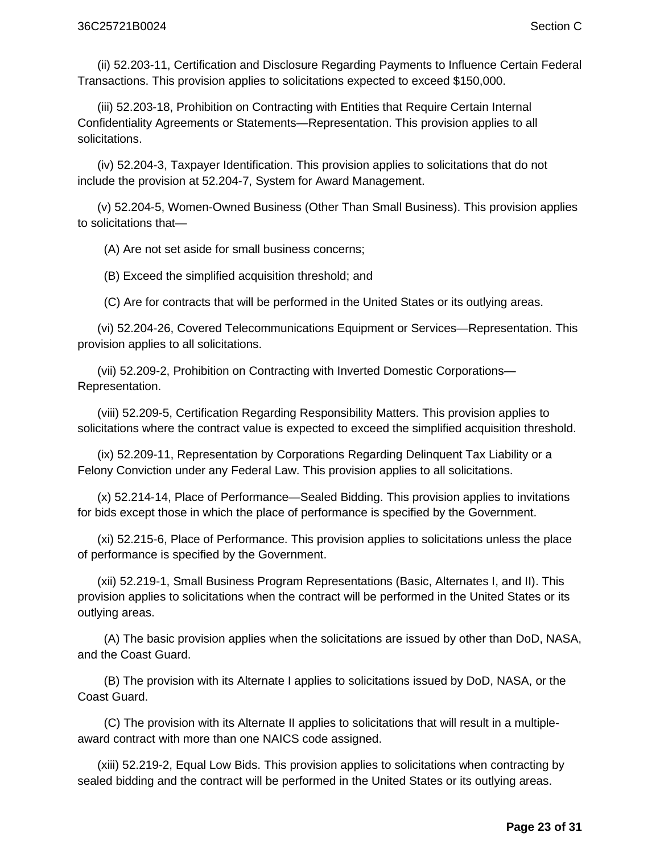(ii) 52.203-11, Certification and Disclosure Regarding Payments to Influence Certain Federal Transactions. This provision applies to solicitations expected to exceed \$150,000.

 (iii) 52.203-18, Prohibition on Contracting with Entities that Require Certain Internal Confidentiality Agreements or Statements—Representation. This provision applies to all solicitations.

 (iv) 52.204-3, Taxpayer Identification. This provision applies to solicitations that do not include the provision at 52.204-7, System for Award Management.

 (v) 52.204-5, Women-Owned Business (Other Than Small Business). This provision applies to solicitations that—

(A) Are not set aside for small business concerns;

(B) Exceed the simplified acquisition threshold; and

(C) Are for contracts that will be performed in the United States or its outlying areas.

 (vi) 52.204-26, Covered Telecommunications Equipment or Services—Representation. This provision applies to all solicitations.

 (vii) 52.209-2, Prohibition on Contracting with Inverted Domestic Corporations— Representation.

 (viii) 52.209-5, Certification Regarding Responsibility Matters. This provision applies to solicitations where the contract value is expected to exceed the simplified acquisition threshold.

 (ix) 52.209-11, Representation by Corporations Regarding Delinquent Tax Liability or a Felony Conviction under any Federal Law. This provision applies to all solicitations.

 (x) 52.214-14, Place of Performance—Sealed Bidding. This provision applies to invitations for bids except those in which the place of performance is specified by the Government.

 (xi) 52.215-6, Place of Performance. This provision applies to solicitations unless the place of performance is specified by the Government.

 (xii) 52.219-1, Small Business Program Representations (Basic, Alternates I, and II). This provision applies to solicitations when the contract will be performed in the United States or its outlying areas.

 (A) The basic provision applies when the solicitations are issued by other than DoD, NASA, and the Coast Guard.

 (B) The provision with its Alternate I applies to solicitations issued by DoD, NASA, or the Coast Guard.

 (C) The provision with its Alternate II applies to solicitations that will result in a multipleaward contract with more than one NAICS code assigned.

 (xiii) 52.219-2, Equal Low Bids. This provision applies to solicitations when contracting by sealed bidding and the contract will be performed in the United States or its outlying areas.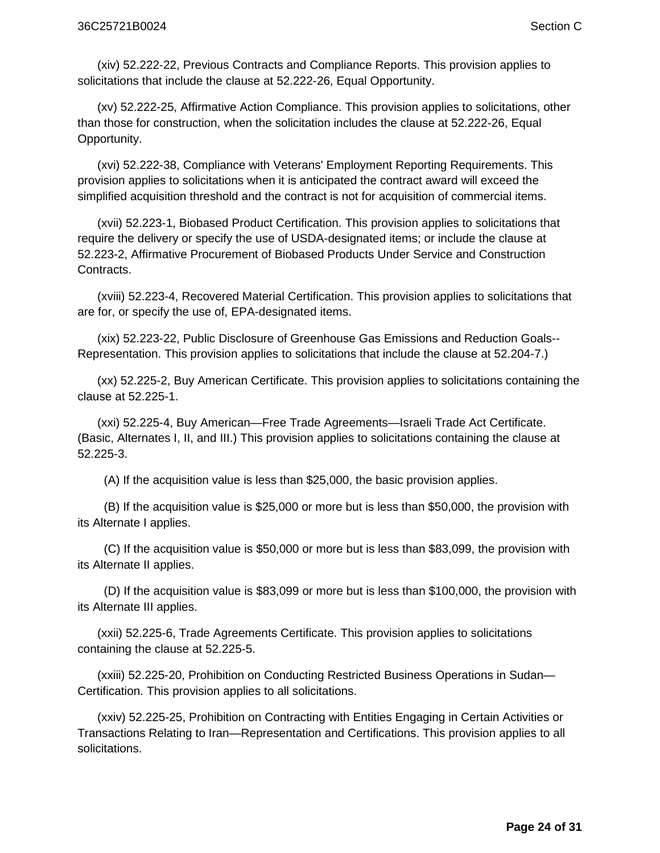(xiv) 52.222-22, Previous Contracts and Compliance Reports. This provision applies to solicitations that include the clause at 52.222-26, Equal Opportunity.

 (xv) 52.222-25, Affirmative Action Compliance. This provision applies to solicitations, other than those for construction, when the solicitation includes the clause at 52.222-26, Equal Opportunity.

 (xvi) 52.222-38, Compliance with Veterans' Employment Reporting Requirements. This provision applies to solicitations when it is anticipated the contract award will exceed the simplified acquisition threshold and the contract is not for acquisition of commercial items.

 (xvii) 52.223-1, Biobased Product Certification. This provision applies to solicitations that require the delivery or specify the use of USDA-designated items; or include the clause at 52.223-2, Affirmative Procurement of Biobased Products Under Service and Construction Contracts.

 (xviii) 52.223-4, Recovered Material Certification. This provision applies to solicitations that are for, or specify the use of, EPA-designated items.

 (xix) 52.223-22, Public Disclosure of Greenhouse Gas Emissions and Reduction Goals-- Representation. This provision applies to solicitations that include the clause at 52.204-7.)

 (xx) 52.225-2, Buy American Certificate. This provision applies to solicitations containing the clause at 52.225-1.

 (xxi) 52.225-4, Buy American—Free Trade Agreements—Israeli Trade Act Certificate. (Basic, Alternates I, II, and III.) This provision applies to solicitations containing the clause at 52.225-3.

(A) If the acquisition value is less than \$25,000, the basic provision applies.

 (B) If the acquisition value is \$25,000 or more but is less than \$50,000, the provision with its Alternate I applies.

 (C) If the acquisition value is \$50,000 or more but is less than \$83,099, the provision with its Alternate II applies.

 (D) If the acquisition value is \$83,099 or more but is less than \$100,000, the provision with its Alternate III applies.

 (xxii) 52.225-6, Trade Agreements Certificate. This provision applies to solicitations containing the clause at 52.225-5.

 (xxiii) 52.225-20, Prohibition on Conducting Restricted Business Operations in Sudan— Certification. This provision applies to all solicitations.

 (xxiv) 52.225-25, Prohibition on Contracting with Entities Engaging in Certain Activities or Transactions Relating to Iran—Representation and Certifications. This provision applies to all solicitations.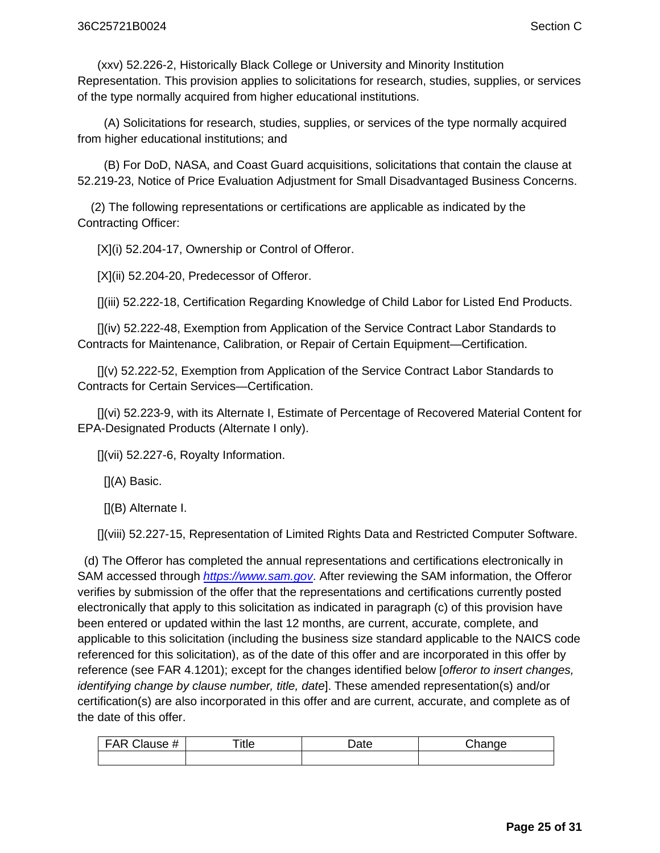(xxv) 52.226-2, Historically Black College or University and Minority Institution Representation. This provision applies to solicitations for research, studies, supplies, or services of the type normally acquired from higher educational institutions.

 (A) Solicitations for research, studies, supplies, or services of the type normally acquired from higher educational institutions; and

 (B) For DoD, NASA, and Coast Guard acquisitions, solicitations that contain the clause at 52.219-23, Notice of Price Evaluation Adjustment for Small Disadvantaged Business Concerns.

 (2) The following representations or certifications are applicable as indicated by the Contracting Officer:

[X](i) 52.204-17, Ownership or Control of Offeror.

[X](ii) 52.204-20, Predecessor of Offeror.

[](iii) 52.222-18, Certification Regarding Knowledge of Child Labor for Listed End Products.

 [](iv) 52.222-48, Exemption from Application of the Service Contract Labor Standards to Contracts for Maintenance, Calibration, or Repair of Certain Equipment—Certification.

 [](v) 52.222-52, Exemption from Application of the Service Contract Labor Standards to Contracts for Certain Services—Certification.

 [](vi) 52.223-9, with its Alternate I, Estimate of Percentage of Recovered Material Content for EPA-Designated Products (Alternate I only).

[](vii) 52.227-6, Royalty Information.

[](A) Basic.

[](B) Alternate I.

[](viii) 52.227-15, Representation of Limited Rights Data and Restricted Computer Software.

 (d) The Offeror has completed the annual representations and certifications electronically in SAM accessed through *[https://www.sam.gov](https://www.sam.gov/)*. After reviewing the SAM information, the Offeror verifies by submission of the offer that the representations and certifications currently posted electronically that apply to this solicitation as indicated in paragraph (c) of this provision have been entered or updated within the last 12 months, are current, accurate, complete, and applicable to this solicitation (including the business size standard applicable to the NAICS code referenced for this solicitation), as of the date of this offer and are incorporated in this offer by reference (see FAR 4.1201); except for the changes identified below [*offeror to insert changes, identifying change by clause number, title, date*]. These amended representation(s) and/or certification(s) are also incorporated in this offer and are current, accurate, and complete as of the date of this offer.

| FAR Clause # | <b>Title</b> | Date | hange ت |
|--------------|--------------|------|---------|
|              |              |      |         |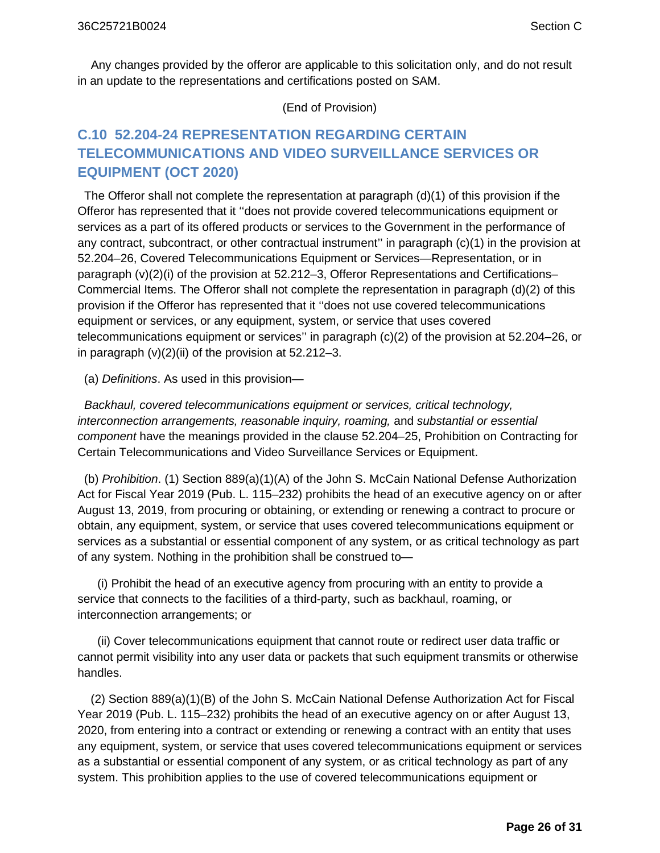Any changes provided by the offeror are applicable to this solicitation only, and do not result in an update to the representations and certifications posted on SAM.

(End of Provision)

# <span id="page-25-0"></span>**C.10 52.204-24 REPRESENTATION REGARDING CERTAIN TELECOMMUNICATIONS AND VIDEO SURVEILLANCE SERVICES OR EQUIPMENT (OCT 2020)**

 The Offeror shall not complete the representation at paragraph (d)(1) of this provision if the Offeror has represented that it ''does not provide covered telecommunications equipment or services as a part of its offered products or services to the Government in the performance of any contract, subcontract, or other contractual instrument'' in paragraph (c)(1) in the provision at 52.204–26, Covered Telecommunications Equipment or Services—Representation, or in paragraph (v)(2)(i) of the provision at 52.212–3, Offeror Representations and Certifications– Commercial Items. The Offeror shall not complete the representation in paragraph (d)(2) of this provision if the Offeror has represented that it ''does not use covered telecommunications equipment or services, or any equipment, system, or service that uses covered telecommunications equipment or services'' in paragraph (c)(2) of the provision at 52.204–26, or in paragraph  $(v)(2)$ (ii) of the provision at 52.212–3.

(a) *Definitions*. As used in this provision—

 *Backhaul, covered telecommunications equipment or services, critical technology, interconnection arrangements, reasonable inquiry, roaming,* and *substantial or essential component* have the meanings provided in the clause 52.204–25, Prohibition on Contracting for Certain Telecommunications and Video Surveillance Services or Equipment.

 (b) *Prohibition*. (1) Section 889(a)(1)(A) of the John S. McCain National Defense Authorization Act for Fiscal Year 2019 (Pub. L. 115–232) prohibits the head of an executive agency on or after August 13, 2019, from procuring or obtaining, or extending or renewing a contract to procure or obtain, any equipment, system, or service that uses covered telecommunications equipment or services as a substantial or essential component of any system, or as critical technology as part of any system. Nothing in the prohibition shall be construed to—

 (i) Prohibit the head of an executive agency from procuring with an entity to provide a service that connects to the facilities of a third-party, such as backhaul, roaming, or interconnection arrangements; or

 (ii) Cover telecommunications equipment that cannot route or redirect user data traffic or cannot permit visibility into any user data or packets that such equipment transmits or otherwise handles.

 (2) Section 889(a)(1)(B) of the John S. McCain National Defense Authorization Act for Fiscal Year 2019 (Pub. L. 115–232) prohibits the head of an executive agency on or after August 13, 2020, from entering into a contract or extending or renewing a contract with an entity that uses any equipment, system, or service that uses covered telecommunications equipment or services as a substantial or essential component of any system, or as critical technology as part of any system. This prohibition applies to the use of covered telecommunications equipment or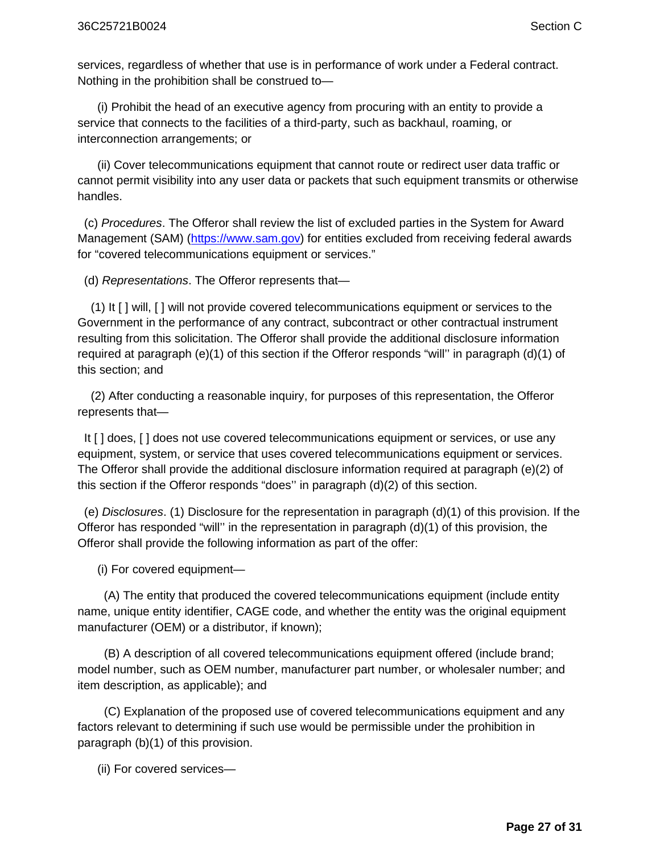services, regardless of whether that use is in performance of work under a Federal contract. Nothing in the prohibition shall be construed to—

 (i) Prohibit the head of an executive agency from procuring with an entity to provide a service that connects to the facilities of a third-party, such as backhaul, roaming, or interconnection arrangements; or

 (ii) Cover telecommunications equipment that cannot route or redirect user data traffic or cannot permit visibility into any user data or packets that such equipment transmits or otherwise handles.

 (c) *Procedures*. The Offeror shall review the list of excluded parties in the System for Award Management (SAM) [\(https://www.sam.gov\)](https://www.sam.gov/) for entities excluded from receiving federal awards for "covered telecommunications equipment or services."

(d) *Representations*. The Offeror represents that—

 (1) It [ ] will, [ ] will not provide covered telecommunications equipment or services to the Government in the performance of any contract, subcontract or other contractual instrument resulting from this solicitation. The Offeror shall provide the additional disclosure information required at paragraph (e)(1) of this section if the Offeror responds "will'' in paragraph (d)(1) of this section; and

 (2) After conducting a reasonable inquiry, for purposes of this representation, the Offeror represents that—

It [] does, [] does not use covered telecommunications equipment or services, or use any equipment, system, or service that uses covered telecommunications equipment or services. The Offeror shall provide the additional disclosure information required at paragraph (e)(2) of this section if the Offeror responds "does'' in paragraph (d)(2) of this section.

 (e) *Disclosures*. (1) Disclosure for the representation in paragraph (d)(1) of this provision. If the Offeror has responded "will'' in the representation in paragraph (d)(1) of this provision, the Offeror shall provide the following information as part of the offer:

(i) For covered equipment—

 (A) The entity that produced the covered telecommunications equipment (include entity name, unique entity identifier, CAGE code, and whether the entity was the original equipment manufacturer (OEM) or a distributor, if known);

 (B) A description of all covered telecommunications equipment offered (include brand; model number, such as OEM number, manufacturer part number, or wholesaler number; and item description, as applicable); and

 (C) Explanation of the proposed use of covered telecommunications equipment and any factors relevant to determining if such use would be permissible under the prohibition in paragraph (b)(1) of this provision.

(ii) For covered services—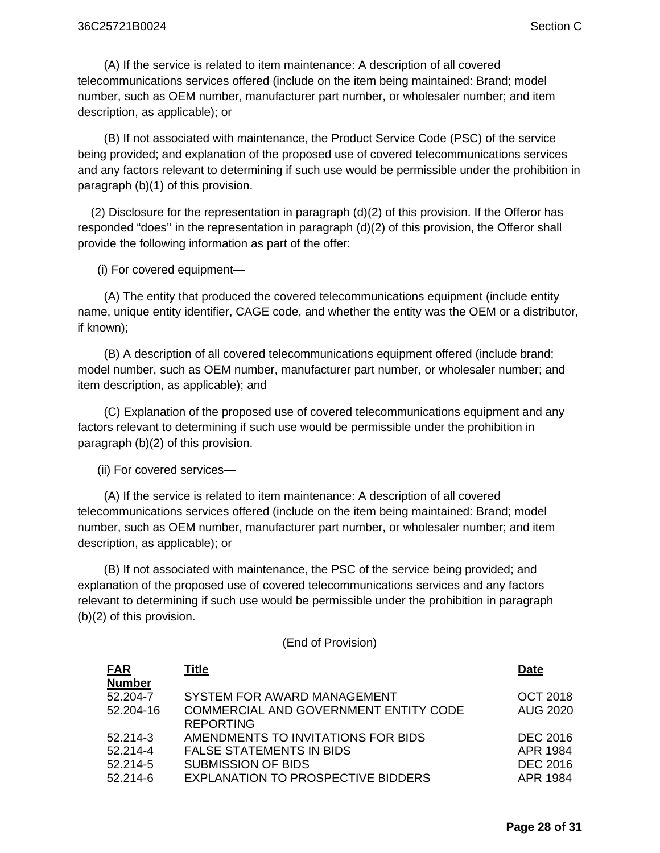(A) If the service is related to item maintenance: A description of all covered telecommunications services offered (include on the item being maintained: Brand; model number, such as OEM number, manufacturer part number, or wholesaler number; and item description, as applicable); or

 (B) If not associated with maintenance, the Product Service Code (PSC) of the service being provided; and explanation of the proposed use of covered telecommunications services and any factors relevant to determining if such use would be permissible under the prohibition in paragraph (b)(1) of this provision.

 (2) Disclosure for the representation in paragraph (d)(2) of this provision. If the Offeror has responded "does'' in the representation in paragraph (d)(2) of this provision, the Offeror shall provide the following information as part of the offer:

(i) For covered equipment—

 (A) The entity that produced the covered telecommunications equipment (include entity name, unique entity identifier, CAGE code, and whether the entity was the OEM or a distributor, if known);

 (B) A description of all covered telecommunications equipment offered (include brand; model number, such as OEM number, manufacturer part number, or wholesaler number; and item description, as applicable); and

 (C) Explanation of the proposed use of covered telecommunications equipment and any factors relevant to determining if such use would be permissible under the prohibition in paragraph (b)(2) of this provision.

(ii) For covered services—

 (A) If the service is related to item maintenance: A description of all covered telecommunications services offered (include on the item being maintained: Brand; model number, such as OEM number, manufacturer part number, or wholesaler number; and item description, as applicable); or

 (B) If not associated with maintenance, the PSC of the service being provided; and explanation of the proposed use of covered telecommunications services and any factors relevant to determining if such use would be permissible under the prohibition in paragraph (b)(2) of this provision.

(End of Provision)

| <b>FAR</b>    | Title                                     | <b>Date</b>     |
|---------------|-------------------------------------------|-----------------|
| <b>Number</b> |                                           |                 |
| 52.204-7      | SYSTEM FOR AWARD MANAGEMENT               | <b>OCT 2018</b> |
| 52.204-16     | COMMERCIAL AND GOVERNMENT ENTITY CODE     | <b>AUG 2020</b> |
|               | <b>REPORTING</b>                          |                 |
| 52.214-3      | AMENDMENTS TO INVITATIONS FOR BIDS        | <b>DEC 2016</b> |
| 52.214-4      | <b>FALSE STATEMENTS IN BIDS</b>           | APR 1984        |
| 52.214-5      | <b>SUBMISSION OF BIDS</b>                 | <b>DEC 2016</b> |
| $52.214 - 6$  | <b>EXPLANATION TO PROSPECTIVE BIDDERS</b> | APR 1984        |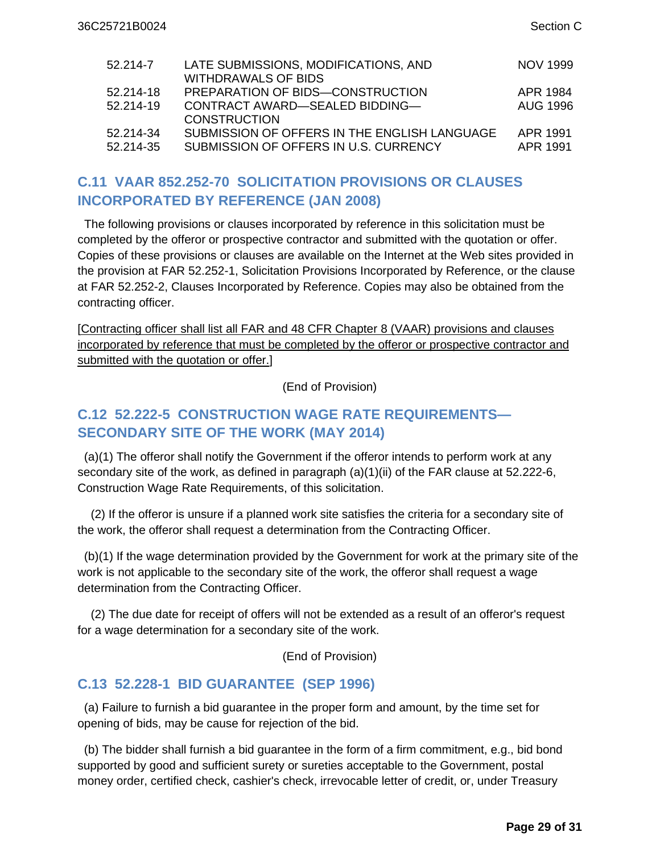| 52.214-7  | LATE SUBMISSIONS, MODIFICATIONS, AND         | NOV 1999        |
|-----------|----------------------------------------------|-----------------|
|           | <b>WITHDRAWALS OF BIDS</b>                   |                 |
| 52.214-18 | PREPARATION OF BIDS-CONSTRUCTION             | APR 1984        |
| 52.214-19 | CONTRACT AWARD-SEALED BIDDING-               | <b>AUG 1996</b> |
|           | CONSTRUCTION                                 |                 |
| 52.214-34 | SUBMISSION OF OFFERS IN THE ENGLISH LANGUAGE | APR 1991        |
| 52.214-35 | SUBMISSION OF OFFERS IN U.S. CURRENCY        | APR 1991        |

## <span id="page-28-0"></span>**C.11 VAAR 852.252-70 SOLICITATION PROVISIONS OR CLAUSES INCORPORATED BY REFERENCE (JAN 2008)**

 The following provisions or clauses incorporated by reference in this solicitation must be completed by the offeror or prospective contractor and submitted with the quotation or offer. Copies of these provisions or clauses are available on the Internet at the Web sites provided in the provision at FAR 52.252-1, Solicitation Provisions Incorporated by Reference, or the clause at FAR 52.252-2, Clauses Incorporated by Reference. Copies may also be obtained from the contracting officer.

[Contracting officer shall list all FAR and 48 CFR Chapter 8 (VAAR) provisions and clauses incorporated by reference that must be completed by the offeror or prospective contractor and submitted with the quotation or offer.]

(End of Provision)

## <span id="page-28-1"></span>**C.12 52.222-5 CONSTRUCTION WAGE RATE REQUIREMENTS— SECONDARY SITE OF THE WORK (MAY 2014)**

 (a)(1) The offeror shall notify the Government if the offeror intends to perform work at any secondary site of the work, as defined in paragraph (a)(1)(ii) of the FAR clause at 52.222-6, Construction Wage Rate Requirements, of this solicitation.

 (2) If the offeror is unsure if a planned work site satisfies the criteria for a secondary site of the work, the offeror shall request a determination from the Contracting Officer.

 (b)(1) If the wage determination provided by the Government for work at the primary site of the work is not applicable to the secondary site of the work, the offeror shall request a wage determination from the Contracting Officer.

 (2) The due date for receipt of offers will not be extended as a result of an offeror's request for a wage determination for a secondary site of the work.

(End of Provision)

### <span id="page-28-2"></span>**C.13 52.228-1 BID GUARANTEE (SEP 1996)**

 (a) Failure to furnish a bid guarantee in the proper form and amount, by the time set for opening of bids, may be cause for rejection of the bid.

 (b) The bidder shall furnish a bid guarantee in the form of a firm commitment, e.g., bid bond supported by good and sufficient surety or sureties acceptable to the Government, postal money order, certified check, cashier's check, irrevocable letter of credit, or, under Treasury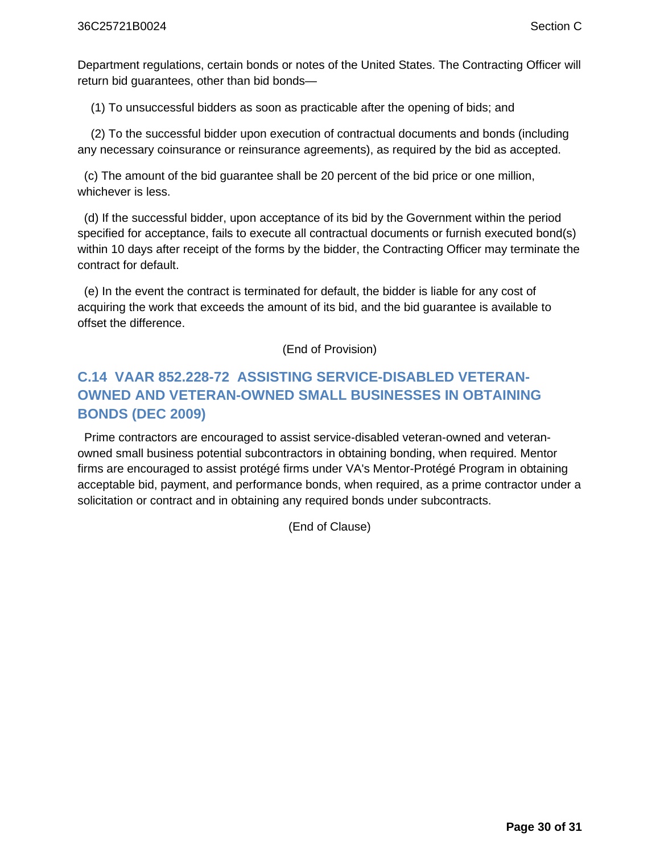Department regulations, certain bonds or notes of the United States. The Contracting Officer will return bid guarantees, other than bid bonds—

(1) To unsuccessful bidders as soon as practicable after the opening of bids; and

 (2) To the successful bidder upon execution of contractual documents and bonds (including any necessary coinsurance or reinsurance agreements), as required by the bid as accepted.

 (c) The amount of the bid guarantee shall be 20 percent of the bid price or one million, whichever is less.

 (d) If the successful bidder, upon acceptance of its bid by the Government within the period specified for acceptance, fails to execute all contractual documents or furnish executed bond(s) within 10 days after receipt of the forms by the bidder, the Contracting Officer may terminate the contract for default.

 (e) In the event the contract is terminated for default, the bidder is liable for any cost of acquiring the work that exceeds the amount of its bid, and the bid guarantee is available to offset the difference.

(End of Provision)

# <span id="page-29-0"></span>**C.14 VAAR 852.228-72 ASSISTING SERVICE-DISABLED VETERAN-OWNED AND VETERAN-OWNED SMALL BUSINESSES IN OBTAINING BONDS (DEC 2009)**

 Prime contractors are encouraged to assist service-disabled veteran-owned and veteranowned small business potential subcontractors in obtaining bonding, when required. Mentor firms are encouraged to assist protégé firms under VA's Mentor-Protégé Program in obtaining acceptable bid, payment, and performance bonds, when required, as a prime contractor under a solicitation or contract and in obtaining any required bonds under subcontracts.

(End of Clause)